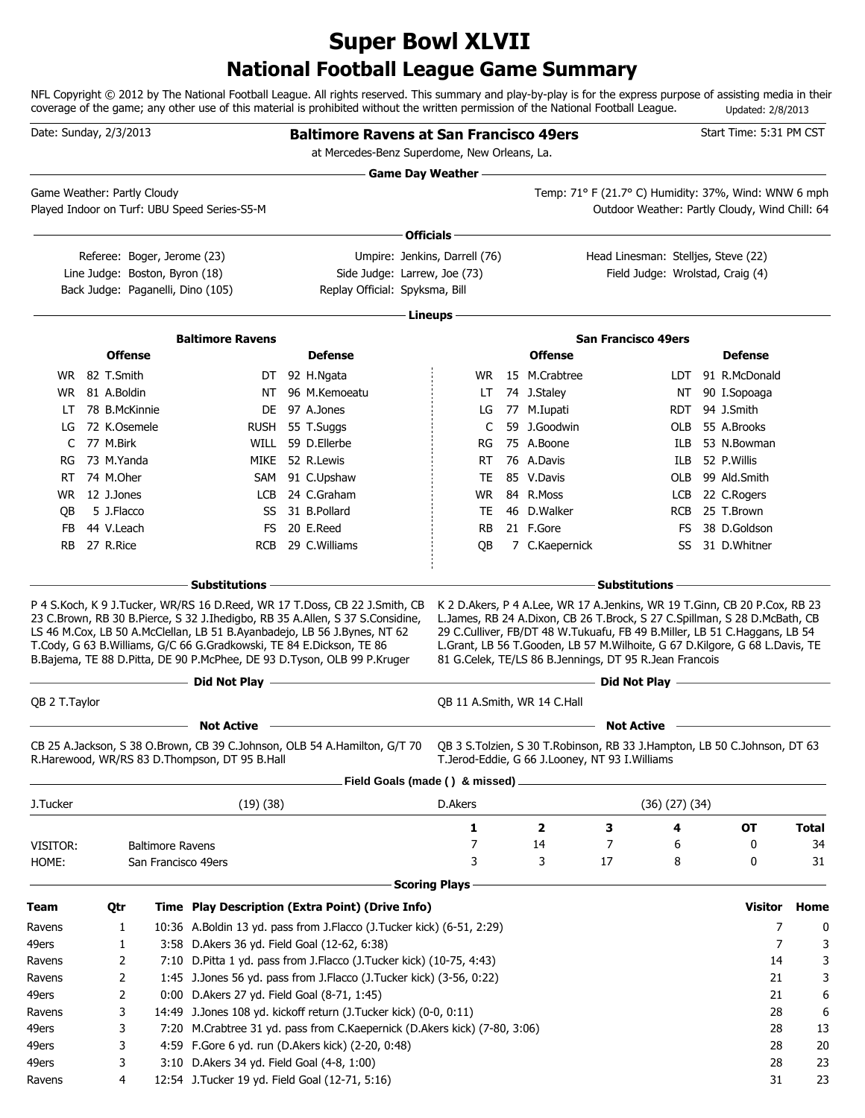### **National Football League Game Summary Super Bowl XLVII**

NFL Copyright © 2012 by The National Football League. All rights reserved. This summary and play-by-play is for the express purpose of assisting media in their coverage of the game; any other use of this material is prohibited without the written permission of the National Football League. Updated: 2/8/2013

| Date: Sunday, 2/3/2013      |                                 |                                |                                                                      | <b>Baltimore Ravens at San Francisco 49ers</b>                                                                                                                                                                                                                                                                          |                           |                                 |                                                                                                                                                                                                                                                                                                                                                                                   |     | Start Time: 5:31 PM CST        |              |
|-----------------------------|---------------------------------|--------------------------------|----------------------------------------------------------------------|-------------------------------------------------------------------------------------------------------------------------------------------------------------------------------------------------------------------------------------------------------------------------------------------------------------------------|---------------------------|---------------------------------|-----------------------------------------------------------------------------------------------------------------------------------------------------------------------------------------------------------------------------------------------------------------------------------------------------------------------------------------------------------------------------------|-----|--------------------------------|--------------|
|                             |                                 |                                |                                                                      | at Mercedes-Benz Superdome, New Orleans, La.                                                                                                                                                                                                                                                                            |                           |                                 |                                                                                                                                                                                                                                                                                                                                                                                   |     |                                |              |
|                             |                                 |                                |                                                                      |                                                                                                                                                                                                                                                                                                                         | <b>Game Day Weather —</b> |                                 |                                                                                                                                                                                                                                                                                                                                                                                   |     |                                |              |
| Game Weather: Partly Cloudy |                                 |                                | Played Indoor on Turf: UBU Speed Series-S5-M                         |                                                                                                                                                                                                                                                                                                                         |                           |                                 | Temp: 71° F (21.7° C) Humidity: 37%, Wind: WNW 6 mph<br>Outdoor Weather: Partly Cloudy, Wind Chill: 64                                                                                                                                                                                                                                                                            |     |                                |              |
|                             |                                 |                                |                                                                      |                                                                                                                                                                                                                                                                                                                         |                           |                                 |                                                                                                                                                                                                                                                                                                                                                                                   |     |                                |              |
|                             |                                 |                                |                                                                      |                                                                                                                                                                                                                                                                                                                         | Officials -               |                                 |                                                                                                                                                                                                                                                                                                                                                                                   |     |                                |              |
|                             |                                 | Referee: Boger, Jerome (23)    |                                                                      | Umpire: Jenkins, Darrell (76)                                                                                                                                                                                                                                                                                           |                           |                                 | Head Linesman: Stelljes, Steve (22)                                                                                                                                                                                                                                                                                                                                               |     |                                |              |
|                             |                                 | Line Judge: Boston, Byron (18) | Back Judge: Paganelli, Dino (105)                                    | Side Judge: Larrew, Joe (73)<br>Replay Official: Spyksma, Bill                                                                                                                                                                                                                                                          |                           |                                 | Field Judge: Wrolstad, Craig (4)                                                                                                                                                                                                                                                                                                                                                  |     |                                |              |
|                             |                                 |                                |                                                                      |                                                                                                                                                                                                                                                                                                                         |                           |                                 |                                                                                                                                                                                                                                                                                                                                                                                   |     |                                |              |
|                             |                                 |                                |                                                                      |                                                                                                                                                                                                                                                                                                                         | Lineups -                 |                                 |                                                                                                                                                                                                                                                                                                                                                                                   |     |                                |              |
|                             | <b>Offense</b>                  |                                | <b>Baltimore Ravens</b>                                              | <b>Defense</b>                                                                                                                                                                                                                                                                                                          |                           | <b>Offense</b>                  | <b>San Francisco 49ers</b>                                                                                                                                                                                                                                                                                                                                                        |     | <b>Defense</b>                 |              |
|                             |                                 |                                |                                                                      |                                                                                                                                                                                                                                                                                                                         |                           |                                 |                                                                                                                                                                                                                                                                                                                                                                                   |     |                                |              |
|                             | WR 82 T.Smith<br>WR 81 A.Boldin |                                |                                                                      | DT 92 H.Ngata<br>NT 96 M.Kemoeatu                                                                                                                                                                                                                                                                                       | LT.                       | WR 15 M.Crabtree<br>74 J.Staley |                                                                                                                                                                                                                                                                                                                                                                                   | NT  | LDT 91 R.McDonald              |              |
| LT                          | 78 B.McKinnie                   |                                |                                                                      | DE 97 A.Jones                                                                                                                                                                                                                                                                                                           | LG                        | 77 M.Iupati                     |                                                                                                                                                                                                                                                                                                                                                                                   |     | 90 I.Sopoaga<br>RDT 94 J.Smith |              |
| LG                          | 72 K.Osemele                    |                                |                                                                      | RUSH 55 T.Suggs                                                                                                                                                                                                                                                                                                         | C                         | 59 J.Goodwin                    |                                                                                                                                                                                                                                                                                                                                                                                   | OLB | 55 A.Brooks                    |              |
|                             | C 77 M.Birk                     |                                |                                                                      | WILL 59 D.Ellerbe                                                                                                                                                                                                                                                                                                       | RG                        | 75 A.Boone                      |                                                                                                                                                                                                                                                                                                                                                                                   | ILB | 53 N.Bowman                    |              |
| RG                          | 73 M.Yanda                      |                                |                                                                      | MIKE 52 R.Lewis                                                                                                                                                                                                                                                                                                         | RT                        | 76 A.Davis                      |                                                                                                                                                                                                                                                                                                                                                                                   |     | ILB 52 P.Willis                |              |
|                             | RT 74 M.Oher                    |                                |                                                                      | SAM 91 C.Upshaw                                                                                                                                                                                                                                                                                                         | TE                        | 85 V.Davis                      |                                                                                                                                                                                                                                                                                                                                                                                   |     | OLB 99 Ald.Smith               |              |
|                             | WR 12 J.Jones                   |                                |                                                                      | LCB 24 C.Graham                                                                                                                                                                                                                                                                                                         |                           | WR 84 R.Moss                    |                                                                                                                                                                                                                                                                                                                                                                                   |     | LCB 22 C.Rogers                |              |
| QB                          | 5 J.Flacco                      |                                | SS                                                                   | 31 B.Pollard                                                                                                                                                                                                                                                                                                            | TE                        | 46 D.Walker                     |                                                                                                                                                                                                                                                                                                                                                                                   |     | RCB 25 T.Brown                 |              |
| FB                          | 44 V.Leach                      |                                |                                                                      | FS 20 E.Reed                                                                                                                                                                                                                                                                                                            | RB.                       | 21 F.Gore                       |                                                                                                                                                                                                                                                                                                                                                                                   | FS. | 38 D.Goldson                   |              |
| RB                          | 27 R.Rice                       |                                | <b>RCB</b>                                                           | 29 C.Williams                                                                                                                                                                                                                                                                                                           | QB                        | 7 C.Kaepernick                  |                                                                                                                                                                                                                                                                                                                                                                                   | SS  | 31 D.Whitner                   |              |
|                             |                                 |                                |                                                                      | the control of the control of the control of the control of the control of                                                                                                                                                                                                                                              |                           |                                 | <b>Substitutions</b>                                                                                                                                                                                                                                                                                                                                                              |     |                                |              |
|                             |                                 |                                | <b>Substitutions</b>                                                 |                                                                                                                                                                                                                                                                                                                         |                           |                                 |                                                                                                                                                                                                                                                                                                                                                                                   |     |                                |              |
|                             |                                 |                                | T.Cody, G 63 B.Williams, G/C 66 G.Gradkowski, TE 84 E.Dickson, TE 86 | P 4 S. Koch, K 9 J. Tucker, WR/RS 16 D. Reed, WR 17 T. Doss, CB 22 J. Smith, CB<br>23 C.Brown, RB 30 B.Pierce, S 32 J.Ihedigbo, RB 35 A.Allen, S 37 S.Considine,<br>LS 46 M.Cox, LB 50 A.McClellan, LB 51 B.Ayanbadejo, LB 56 J.Bynes, NT 62<br>B.Bajema, TE 88 D.Pitta, DE 90 P.McPhee, DE 93 D.Tyson, OLB 99 P.Kruger |                           |                                 | K 2 D. Akers, P 4 A. Lee, WR 17 A. Jenkins, WR 19 T. Ginn, CB 20 P. Cox, RB 23<br>L.James, RB 24 A.Dixon, CB 26 T.Brock, S 27 C.Spillman, S 28 D.McBath, CB<br>29 C.Culliver, FB/DT 48 W.Tukuafu, FB 49 B.Miller, LB 51 C.Haggans, LB 54<br>L.Grant, LB 56 T.Gooden, LB 57 M.Wilhoite, G 67 D.Kilgore, G 68 L.Davis, TE<br>81 G.Celek, TE/LS 86 B.Jennings, DT 95 R.Jean Francois |     |                                |              |
|                             |                                 |                                | Did Not Play $-$                                                     | the control of the control of the control of the control of                                                                                                                                                                                                                                                             |                           |                                 |                                                                                                                                                                                                                                                                                                                                                                                   |     |                                |              |
| OB 2 T. Taylor              |                                 |                                |                                                                      |                                                                                                                                                                                                                                                                                                                         |                           | QB 11 A.Smith, WR 14 C.Hall     |                                                                                                                                                                                                                                                                                                                                                                                   |     |                                |              |
|                             |                                 |                                | <b>Not Active</b>                                                    |                                                                                                                                                                                                                                                                                                                         |                           |                                 | <b>Not Active</b>                                                                                                                                                                                                                                                                                                                                                                 |     |                                |              |
|                             |                                 |                                | R.Harewood, WR/RS 83 D.Thompson, DT 95 B.Hall                        | CB 25 A.Jackson, S 38 O.Brown, CB 39 C.Johnson, OLB 54 A.Hamilton, G/T 70 QB 3 S.Tolzien, S 30 T.Robinson, RB 33 J.Hampton, LB 50 C.Johnson, DT 63                                                                                                                                                                      |                           |                                 | T.Jerod-Eddie, G 66 J.Looney, NT 93 I.Williams                                                                                                                                                                                                                                                                                                                                    |     |                                |              |
|                             |                                 |                                |                                                                      | Field Goals (made () & missed).                                                                                                                                                                                                                                                                                         |                           |                                 |                                                                                                                                                                                                                                                                                                                                                                                   |     |                                |              |
| J.Tucker                    |                                 |                                | (19)(38)                                                             |                                                                                                                                                                                                                                                                                                                         | D.Akers                   |                                 | (36)(27)(34)                                                                                                                                                                                                                                                                                                                                                                      |     |                                |              |
|                             |                                 |                                |                                                                      |                                                                                                                                                                                                                                                                                                                         | 1                         | 2                               | 3                                                                                                                                                                                                                                                                                                                                                                                 | 4   | <b>OT</b>                      | <b>Total</b> |
| VISITOR:                    |                                 | <b>Baltimore Ravens</b>        |                                                                      |                                                                                                                                                                                                                                                                                                                         | 7                         | 14                              | 7                                                                                                                                                                                                                                                                                                                                                                                 | 6   | 0                              | 34           |
| HOME:                       |                                 | San Francisco 49ers            |                                                                      |                                                                                                                                                                                                                                                                                                                         | 3                         | 3                               | 17                                                                                                                                                                                                                                                                                                                                                                                | 8   | 0                              | 31           |
|                             |                                 |                                |                                                                      |                                                                                                                                                                                                                                                                                                                         | <b>Scoring Plays</b>      |                                 |                                                                                                                                                                                                                                                                                                                                                                                   |     |                                |              |
| Team                        | Qtr                             |                                |                                                                      | Time Play Description (Extra Point) (Drive Info)                                                                                                                                                                                                                                                                        |                           |                                 |                                                                                                                                                                                                                                                                                                                                                                                   |     | <b>Visitor</b>                 | Home         |
| Ravens                      | 1                               |                                |                                                                      | 10:36 A.Boldin 13 yd. pass from J.Flacco (J.Tucker kick) (6-51, 2:29)                                                                                                                                                                                                                                                   |                           |                                 |                                                                                                                                                                                                                                                                                                                                                                                   |     | 7                              | 0            |
| 49ers                       | 1                               |                                | 3:58 D. Akers 36 yd. Field Goal (12-62, 6:38)                        |                                                                                                                                                                                                                                                                                                                         |                           |                                 |                                                                                                                                                                                                                                                                                                                                                                                   |     | $\overline{7}$                 | 3            |
| Ravens<br>Ravens            | 2<br>2                          |                                |                                                                      | 7:10 D.Pitta 1 yd. pass from J.Flacco (J.Tucker kick) (10-75, 4:43)<br>1:45 J.Jones 56 yd. pass from J.Flacco (J.Tucker kick) (3-56, 0:22)                                                                                                                                                                              |                           |                                 |                                                                                                                                                                                                                                                                                                                                                                                   |     | 14<br>21                       | 3<br>3       |
| 49ers                       | 2                               |                                | 0:00 D.Akers 27 yd. Field Goal (8-71, 1:45)                          |                                                                                                                                                                                                                                                                                                                         |                           |                                 |                                                                                                                                                                                                                                                                                                                                                                                   |     | 21                             | 6            |
| Ravens                      | 3                               |                                |                                                                      | 14:49 J.Jones 108 yd. kickoff return (J.Tucker kick) (0-0, 0:11)                                                                                                                                                                                                                                                        |                           |                                 |                                                                                                                                                                                                                                                                                                                                                                                   |     | 28                             | 6            |
| 49ers                       | 3                               |                                |                                                                      | 7:20 M.Crabtree 31 yd. pass from C.Kaepernick (D.Akers kick) (7-80, 3:06)                                                                                                                                                                                                                                               |                           |                                 |                                                                                                                                                                                                                                                                                                                                                                                   |     | 28                             | 13           |
| 49ers                       | 3                               |                                |                                                                      | 4:59 F.Gore 6 yd. run (D.Akers kick) (2-20, 0:48)                                                                                                                                                                                                                                                                       |                           |                                 |                                                                                                                                                                                                                                                                                                                                                                                   |     | 28                             | 20           |
| 49ers                       | 3                               |                                | 3:10 D.Akers 34 yd. Field Goal (4-8, 1:00)                           |                                                                                                                                                                                                                                                                                                                         |                           |                                 |                                                                                                                                                                                                                                                                                                                                                                                   |     | 28                             | 23           |
| Ravens                      | 4                               |                                | 12:54 J.Tucker 19 yd. Field Goal (12-71, 5:16)                       |                                                                                                                                                                                                                                                                                                                         |                           |                                 |                                                                                                                                                                                                                                                                                                                                                                                   |     | 31                             | 23           |
|                             |                                 |                                |                                                                      |                                                                                                                                                                                                                                                                                                                         |                           |                                 |                                                                                                                                                                                                                                                                                                                                                                                   |     |                                |              |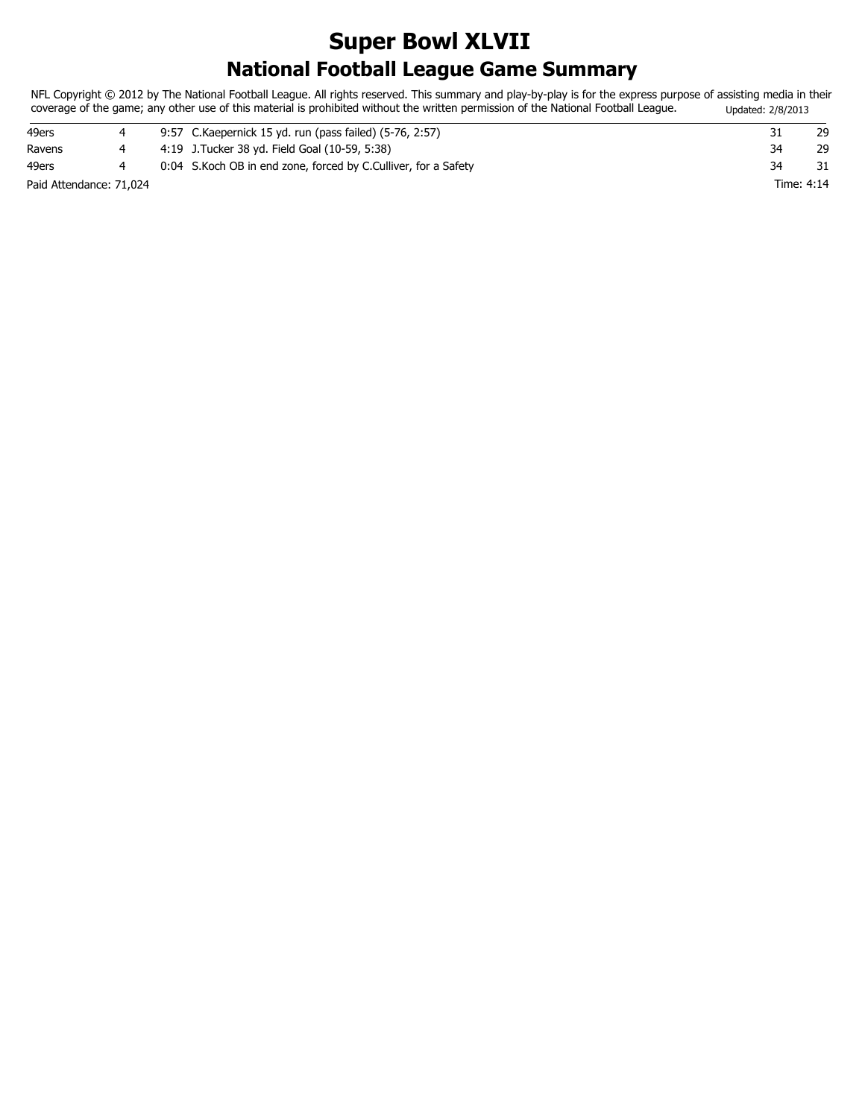### **National Football League Game Summary Super Bowl XLVII**

NFL Copyright © 2012 by The National Football League. All rights reserved. This summary and play-by-play is for the express purpose of assisting media in their coverage of the game; any other use of this material is prohibited without the written permission of the National Football League. Updated: 2/8/2013

| 49ers                   |  | 9:57 C.Kaepernick 15 yd. run (pass failed) (5-76, 2:57)          |            | 29 |
|-------------------------|--|------------------------------------------------------------------|------------|----|
| Ravens                  |  | 4:19 J. Tucker 38 yd. Field Goal (10-59, 5:38)                   | 34         | 29 |
| 49ers                   |  | 0:04 S. Koch OB in end zone, forced by C. Culliver, for a Safety | 34         |    |
| Paid Attendance: 71,024 |  |                                                                  | Time: 4:14 |    |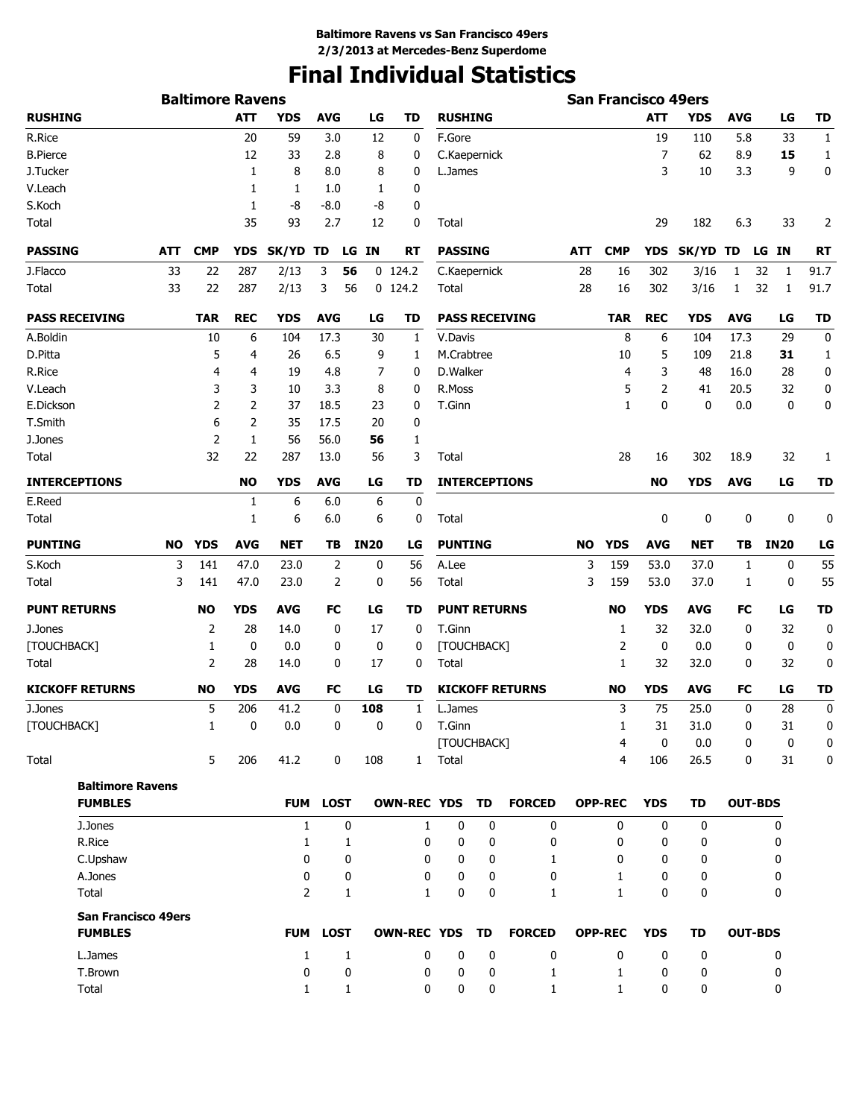# **Final Individual Statistics**

|                                           |     | <b>Baltimore Ravens</b> |             |                |                 |             |                       |                        |   |                        |     | <b>San Francisco 49ers</b> |              |             |                |             |                  |
|-------------------------------------------|-----|-------------------------|-------------|----------------|-----------------|-------------|-----------------------|------------------------|---|------------------------|-----|----------------------------|--------------|-------------|----------------|-------------|------------------|
| <b>RUSHING</b>                            |     |                         | <b>ATT</b>  | <b>YDS</b>     | <b>AVG</b>      | LG          | <b>TD</b>             | <b>RUSHING</b>         |   |                        |     |                            | <b>ATT</b>   | <b>YDS</b>  | <b>AVG</b>     | LG          | TD               |
| R.Rice                                    |     |                         | 20          | 59             | 3.0             | 12          | 0                     | F.Gore                 |   |                        |     |                            | 19           | 110         | 5.8            | 33          | $\mathbf{1}$     |
| <b>B.Pierce</b>                           |     |                         | 12          | 33             | 2.8             | 8           | 0                     | C.Kaepernick           |   |                        |     |                            | 7            | 62          | 8.9            | 15          | 1                |
| J.Tucker                                  |     |                         | 1           | 8              | 8.0             | 8           | 0                     | L.James                |   |                        |     |                            | 3            | 10          | 3.3            | 9           | 0                |
| V.Leach                                   |     |                         | 1           | 1              | 1.0             | 1           | 0                     |                        |   |                        |     |                            |              |             |                |             |                  |
| S.Koch                                    |     |                         | 1           | -8             | $-8.0$          | -8          | 0                     |                        |   |                        |     |                            |              |             |                |             |                  |
| Total                                     |     |                         | 35          | 93             | 2.7             | 12          | $\mathbf 0$           | Total                  |   |                        |     |                            | 29           | 182         | 6.3            | 33          | 2                |
| <b>PASSING</b>                            | ATT | <b>CMP</b>              | <b>YDS</b>  | SK/YD TD       | LG              | <b>IN</b>   | <b>RT</b>             | <b>PASSING</b>         |   |                        | ATT | <b>CMP</b>                 | <b>YDS</b>   | SK/YD TD    |                | LG IN       | RT               |
| J.Flacco                                  | 33  | 22                      | 287         | 2/13           | 3<br>56         |             | $0$ 124.2             | C.Kaepernick           |   |                        | 28  | 16                         | 302          | 3/16        | 1              | 32<br>1     | 91.7             |
| Total                                     | 33  | 22                      | 287         | 2/13           | 3<br>56         |             | $0$ 124.2             | Total                  |   |                        | 28  | 16                         | 302          | 3/16        | $\mathbf{1}$   | 32<br>1     | 91.7             |
| <b>PASS RECEIVING</b>                     |     | <b>TAR</b>              | <b>REC</b>  | <b>YDS</b>     | <b>AVG</b>      | LG          | <b>TD</b>             |                        |   | <b>PASS RECEIVING</b>  |     | <b>TAR</b>                 | <b>REC</b>   | <b>YDS</b>  | <b>AVG</b>     | LG          | <b>TD</b>        |
| A.Boldin                                  |     | 10                      | 6           | 104            | 17.3            | 30          | 1                     | V.Davis                |   |                        |     | 8                          | 6            | 104         | 17.3           | 29          | 0                |
| D.Pitta                                   |     | 5                       | 4           | 26             | 6.5             | 9           | 1                     | M.Crabtree             |   |                        |     | 10                         | 5            | 109         | 21.8           | 31          | 1                |
| R.Rice                                    |     | 4                       | 4           | 19             | 4.8             | 7           | 0                     | D.Walker               |   |                        |     | 4                          | 3            | 48          | 16.0           | 28          | 0                |
| V.Leach                                   |     | 3                       | 3           | 10             | 3.3             | 8           | 0                     | R.Moss                 |   |                        |     | 5                          | 2            | 41          | 20.5           | 32          | 0                |
| E.Dickson                                 |     | $\overline{2}$          | 2           | 37             | 18.5            | 23          | 0                     | T.Ginn                 |   |                        |     | $\mathbf{1}$               | $\mathbf{0}$ | 0           | 0.0            | $\mathbf 0$ | 0                |
| T.Smith                                   |     | 6                       | 2           | 35             | 17.5            | 20          | 0                     |                        |   |                        |     |                            |              |             |                |             |                  |
| J.Jones                                   |     | $\overline{2}$          | 1           | 56             | 56.0            | 56          | 1                     |                        |   |                        |     |                            |              |             |                |             |                  |
| Total                                     |     | 32                      | 22          | 287            | 13.0            | 56          | 3                     | Total                  |   |                        |     | 28                         | 16           | 302         | 18.9           | 32          | 1                |
| <b>INTERCEPTIONS</b>                      |     |                         | <b>NO</b>   | <b>YDS</b>     | <b>AVG</b>      | LG          | TD                    |                        |   | <b>INTERCEPTIONS</b>   |     |                            | NO           | <b>YDS</b>  | <b>AVG</b>     | LG          | <b>TD</b>        |
| E.Reed                                    |     |                         | 1           | 6              | 6.0             | 6           | 0                     |                        |   |                        |     |                            |              |             |                |             |                  |
| Total                                     |     |                         | 1           | 6              | 6.0             | 6           | 0                     | Total                  |   |                        |     |                            | 0            | 0           | 0              | $\mathbf 0$ | 0                |
| <b>PUNTING</b>                            | NO  | <b>YDS</b>              | <b>AVG</b>  | <b>NET</b>     | TВ              | <b>IN20</b> | LG                    | <b>PUNTING</b>         |   |                        | NO. | YDS                        | <b>AVG</b>   | NET         | TВ             | <b>IN20</b> | LG               |
| S.Koch                                    | 3   | 141                     | 47.0        | 23.0           | $\overline{2}$  | 0           | 56                    | A.Lee                  |   |                        | 3   | 159                        | 53.0         | 37.0        | 1              | 0           | 55               |
| Total                                     | 3   | 141                     | 47.0        | 23.0           | 2               | 0           | 56                    | Total                  |   |                        | 3   | 159                        | 53.0         | 37.0        | 1              | 0           | 55               |
| <b>PUNT RETURNS</b>                       |     | NO                      | <b>YDS</b>  | <b>AVG</b>     | FC              | LG          | TD                    | <b>PUNT RETURNS</b>    |   |                        |     | <b>NO</b>                  | <b>YDS</b>   | AVG         | FC             | LG          | <b>TD</b>        |
| J.Jones                                   |     | $\overline{2}$          | 28          | 14.0           | 0               | 17          | 0                     | T.Ginn                 |   |                        |     | 1                          | 32           | 32.0        | 0              | 32          | 0                |
| [TOUCHBACK]                               |     | 1                       | $\mathbf 0$ | 0.0            | 0               | 0           | 0                     | [TOUCHBACK]            |   |                        |     | 2                          | 0            | 0.0         | 0              | 0           | 0                |
| Total                                     |     | 2                       | 28          | 14.0           | 0               | 17          | 0                     | Total                  |   |                        |     | 1                          | 32           | 32.0        | 0              | 32          | 0                |
| <b>KICKOFF RETURNS</b>                    |     | <b>NO</b>               | <b>YDS</b>  | <b>AVG</b>     | FC              | LG          | TD                    |                        |   | <b>KICKOFF RETURNS</b> |     | <b>NO</b>                  | <b>YDS</b>   | AVG         | FC             | LG          | <b>TD</b>        |
| J.Jones                                   |     | 5                       | 206         | 41.2           | $\mathbf 0$     | 108         | $\mathbf{1}$          | L.James                |   |                        |     | 3                          | 75           | 25.0        | 0              | 28          | $\boldsymbol{0}$ |
| [TOUCHBACK]                               |     | $\mathbf{1}$            | $\bf{0}$    | 0.0            | $\mathbf{0}$    | 0           | $\mathbf{0}$          | T.Ginn                 |   |                        |     | 1                          | 31           | 31.0        | 0              | 31          | $\mathbf{0}$     |
| Total                                     |     | 5                       | 206         | 41.2           | 0               | 108         |                       | [TOUCHBACK]<br>1 Total |   |                        |     | 4<br>4                     | 0<br>106     | 0.0<br>26.5 | 0<br>0         | 0<br>31     | 0<br>0           |
|                                           |     |                         |             |                |                 |             |                       |                        |   |                        |     |                            |              |             |                |             |                  |
| <b>Baltimore Ravens</b><br><b>FUMBLES</b> |     |                         |             |                | FUM LOST        |             | OWN-REC YDS TD        |                        |   | <b>FORCED</b>          |     | <b>OPP-REC</b>             | <b>YDS</b>   | <b>TD</b>   | <b>OUT-BDS</b> |             |                  |
| J.Jones                                   |     |                         |             | $\mathbf{1}$   | 0               |             | $\mathbf{1}$          | $\mathbf 0$            | 0 | 0                      |     | $\mathbf{0}$               | 0            | 0           |                | 0           |                  |
| R.Rice                                    |     |                         |             | 1              | 1               |             | 0                     | 0                      | 0 | 0                      |     | 0                          | 0            | 0           |                | 0           |                  |
| C.Upshaw                                  |     |                         |             | 0              | 0               |             | 0                     | 0                      | 0 | 1                      |     | 0                          | 0            | 0           |                | 0           |                  |
| A.Jones                                   |     |                         |             | 0              | 0               |             | 0                     | 0                      | 0 | 0                      |     | $\mathbf{1}$               | 0            | 0           |                | 0           |                  |
| Total                                     |     |                         |             | $\overline{2}$ | 1               |             | 1                     | 0                      | 0 | 1                      |     | $\mathbf{1}$               | 0            | 0           |                | 0           |                  |
| <b>San Francisco 49ers</b>                |     |                         |             |                |                 |             |                       |                        |   |                        |     |                            |              |             |                |             |                  |
| <b>FUMBLES</b>                            |     |                         |             |                | <b>FUM LOST</b> |             | <b>OWN-REC YDS TD</b> |                        |   | <b>FORCED</b>          |     | <b>OPP-REC</b>             | <b>YDS</b>   | TD          | <b>OUT-BDS</b> |             |                  |
| L.James                                   |     |                         |             | $\mathbf{1}$   | $\mathbf{1}$    |             | 0                     | $\mathbf 0$            | 0 | $\mathbf 0$            |     | $\mathbf{0}$               | $\mathbf{0}$ | $\mathbf 0$ |                | 0           |                  |
| T.Brown                                   |     |                         |             | 0              | 0               |             | 0                     | 0                      | 0 | 1                      |     | 1                          | 0            | 0           |                | 0           |                  |
| Total                                     |     |                         |             | 1              | $\mathbf{1}$    |             | 0                     | 0                      | 0 | $\mathbf{1}$           |     | $\mathbf{1}$               | 0            | 0           |                | 0           |                  |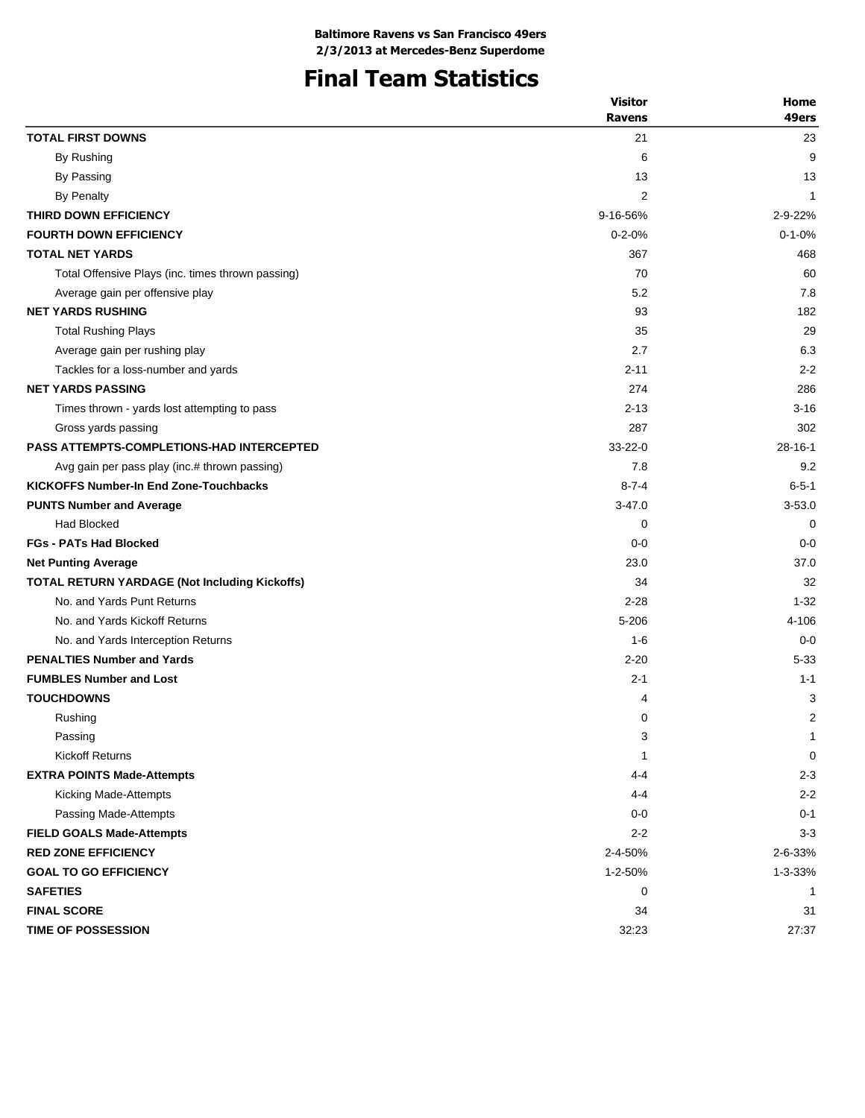# **Final Team Statistics**

|                                                      | <b>Visitor</b> | Home           |
|------------------------------------------------------|----------------|----------------|
|                                                      | <b>Ravens</b>  | 49ers          |
| <b>TOTAL FIRST DOWNS</b>                             | 21             | 23             |
| By Rushing                                           | 6              | 9              |
| By Passing                                           | 13             | 13             |
| By Penalty                                           | $\overline{2}$ | -1             |
| THIRD DOWN EFFICIENCY                                | 9-16-56%       | 2-9-22%        |
| <b>FOURTH DOWN EFFICIENCY</b>                        | $0 - 2 - 0%$   | $0 - 1 - 0%$   |
| <b>TOTAL NET YARDS</b>                               | 367            | 468            |
| Total Offensive Plays (inc. times thrown passing)    | 70             | 60             |
| Average gain per offensive play                      | 5.2            | 7.8            |
| <b>NET YARDS RUSHING</b>                             | 93             | 182            |
| <b>Total Rushing Plays</b>                           | 35             | 29             |
| Average gain per rushing play                        | 2.7            | 6.3            |
| Tackles for a loss-number and yards                  | $2 - 11$       | $2 - 2$        |
| <b>NET YARDS PASSING</b>                             | 274            | 286            |
| Times thrown - yards lost attempting to pass         | $2 - 13$       | $3 - 16$       |
| Gross yards passing                                  | 287            | 302            |
| <b>PASS ATTEMPTS-COMPLETIONS-HAD INTERCEPTED</b>     | $33 - 22 - 0$  | $28 - 16 - 1$  |
| Avg gain per pass play (inc.# thrown passing)        | 7.8            | 9.2            |
| <b>KICKOFFS Number-In End Zone-Touchbacks</b>        | $8 - 7 - 4$    | $6 - 5 - 1$    |
| <b>PUNTS Number and Average</b>                      | $3 - 47.0$     | $3 - 53.0$     |
| <b>Had Blocked</b>                                   | 0              | 0              |
| <b>FGs - PATs Had Blocked</b>                        | $0 - 0$        | $0 - 0$        |
| <b>Net Punting Average</b>                           | 23.0           | 37.0           |
| <b>TOTAL RETURN YARDAGE (Not Including Kickoffs)</b> | 34             | 32             |
| No. and Yards Punt Returns                           | $2 - 28$       | $1 - 32$       |
| No. and Yards Kickoff Returns                        | 5-206          | 4-106          |
| No. and Yards Interception Returns                   | $1 - 6$        | $0 - 0$        |
| <b>PENALTIES Number and Yards</b>                    | $2 - 20$       | $5 - 33$       |
| <b>FUMBLES Number and Lost</b>                       | $2 - 1$        | $1 - 1$        |
| <b>TOUCHDOWNS</b>                                    | 4              | 3              |
| Rushing                                              | 0              | $\overline{2}$ |
| Passing                                              | 3              | 1              |
| <b>Kickoff Returns</b>                               | $\mathbf{1}$   | 0              |
| <b>EXTRA POINTS Made-Attempts</b>                    | 4-4            | $2 - 3$        |
| Kicking Made-Attempts                                | 4-4            | $2 - 2$        |
| Passing Made-Attempts                                | $0-0$          | $0 - 1$        |
| <b>FIELD GOALS Made-Attempts</b>                     | $2 - 2$        | $3-3$          |
| <b>RED ZONE EFFICIENCY</b>                           | 2-4-50%        | 2-6-33%        |
| <b>GOAL TO GO EFFICIENCY</b>                         | 1-2-50%        | 1-3-33%        |
| <b>SAFETIES</b>                                      | 0              | $\mathbf 1$    |
| <b>FINAL SCORE</b>                                   | 34             | 31             |
| <b>TIME OF POSSESSION</b>                            | 32:23          | 27:37          |
|                                                      |                |                |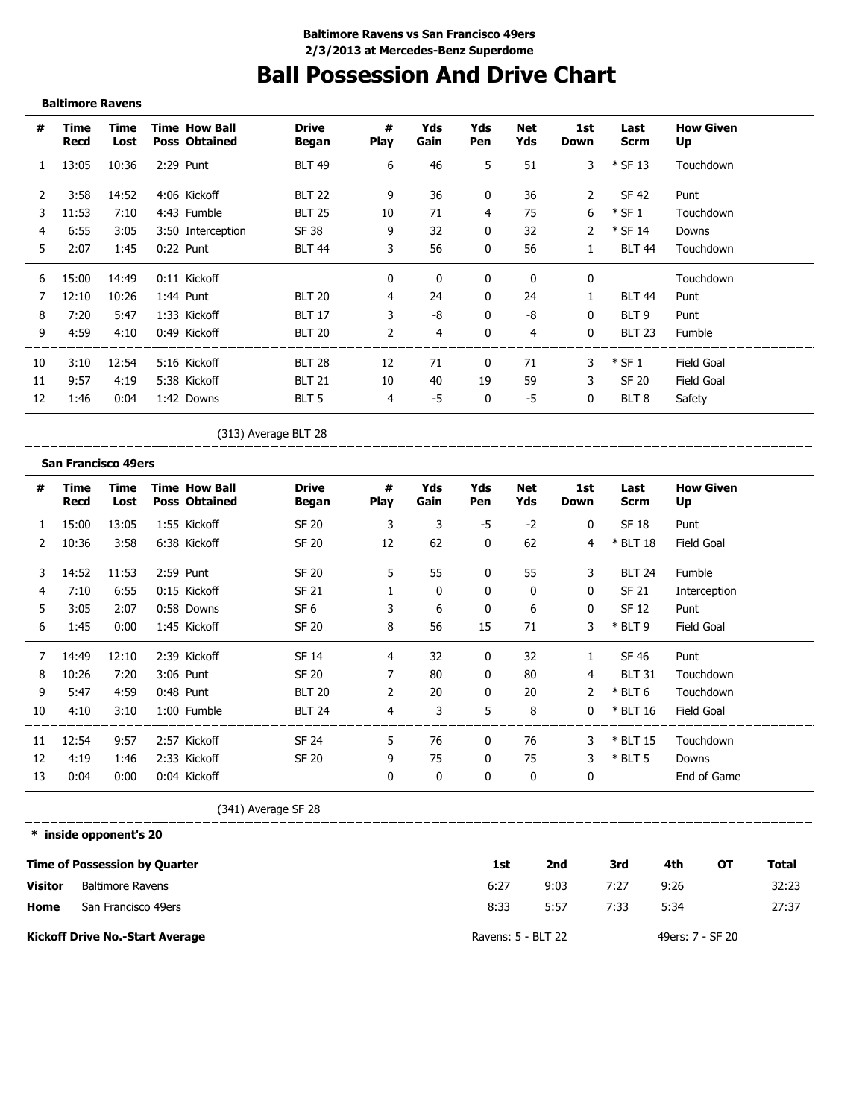## **Ball Possession And Drive Chart**

#### **Baltimore Ravens**

| #            | Time<br>Recd | Time<br>Lost | <b>Time How Ball</b><br><b>Poss Obtained</b> | <b>Drive</b><br>Began | #<br><b>Play</b> | Yds<br>Gain  | Yds<br>Pen | Net<br>Yds   | 1st<br>Down   | Last<br><b>Scrm</b> | <b>How Given</b><br>Up |
|--------------|--------------|--------------|----------------------------------------------|-----------------------|------------------|--------------|------------|--------------|---------------|---------------------|------------------------|
| $\mathbf{1}$ | 13:05        | 10:36        | 2:29 Punt                                    | <b>BLT 49</b>         | 6                | 46           | 5          | 51           | $\mathbf{3}$  | $*$ SF 13           | Touchdown              |
|              | 3:58         | 14:52        | 4:06 Kickoff                                 | <b>BLT 22</b>         | 9                | 36           | 0          | 36           | 2             | SF 42               | Punt                   |
| 3            | 11:53        | 7:10         | 4:43 Fumble                                  | <b>BLT 25</b>         | 10               | 71           | 4          | 75           | 6             | $*$ SF 1            | Touchdown              |
| 4            | 6:55         | 3:05         | 3:50 Interception                            | SF 38                 | 9                | 32           | 0          | 32           | $\mathcal{P}$ | $*$ SF 14           | Downs                  |
| 5.           | 2:07         | 1:45         | $0:22$ Punt                                  | <b>BLT 44</b>         | 3                | 56           | 0          | 56           | $\mathbf{1}$  | <b>BLT 44</b>       | Touchdown              |
| 6            | 15:00        | 14:49        | 0:11 Kickoff                                 |                       | $\mathbf{0}$     | $\mathbf{0}$ | 0          | $\mathbf{0}$ | $\mathbf{0}$  |                     | Touchdown              |
|              | 12:10        | 10:26        | $1:44$ Punt                                  | <b>BLT 20</b>         | 4                | 24           | 0          | 24           |               | <b>BLT 44</b>       | Punt                   |
| 8            | 7:20         | 5:47         | 1:33 Kickoff                                 | <b>BLT 17</b>         | 3                | -8           | 0          | -8           | 0             | BLT 9               | Punt                   |
| 9            | 4:59         | 4:10         | 0:49 Kickoff                                 | <b>BLT 20</b>         | 2                | 4            | 0          | 4            | $\mathbf{0}$  | <b>BLT 23</b>       | Fumble                 |
| 10           | 3:10         | 12:54        | 5:16 Kickoff                                 | <b>BLT 28</b>         | 12               | 71           | 0          | 71           | 3             | $*$ SF 1            | Field Goal             |
| 11           | 9:57         | 4:19         | 5:38 Kickoff                                 | <b>BLT 21</b>         | 10               | 40           | 19         | 59           | 3             | <b>SF 20</b>        | Field Goal             |
| 12           | 1:46         | 0:04         | 1:42 Downs                                   | BLT 5                 | 4                | -5           | 0          | -5           | 0             | BLT <sub>8</sub>    | Safety                 |

\_\_\_\_\_\_\_\_\_\_\_\_\_\_\_\_\_\_\_\_\_\_\_\_

(313) Average BLT 28 \_\_\_\_\_\_\_\_\_\_\_\_\_\_\_\_\_\_\_\_\_\_\_\_

#### **San Francisco 49ers**

| #  | Time<br>Recd | Time<br>Lost | <b>Time How Ball</b><br><b>Poss Obtained</b> | <b>Drive</b><br>Began | #<br><b>Play</b> | Yds<br>Gain | Yds<br>Pen   | Net<br>Yds | 1st<br><b>Down</b> | Last<br><b>Scrm</b> | <b>How Given</b><br>Up |
|----|--------------|--------------|----------------------------------------------|-----------------------|------------------|-------------|--------------|------------|--------------------|---------------------|------------------------|
|    | 15:00        | 13:05        | 1:55 Kickoff                                 | <b>SF 20</b>          | 3                | 3           | $-5$         | $-2$       | $\mathbf 0$        | <b>SF 18</b>        | Punt                   |
| 2  | 10:36        | 3:58         | 6:38 Kickoff                                 | <b>SF 20</b>          | 12               | 62          | $\mathbf{0}$ | 62         | 4                  | $*$ BLT 18          | Field Goal             |
| 3  | 14:52        | 11:53        | 2:59 Punt                                    | <b>SF 20</b>          | 5                | 55          | 0            | 55         | 3                  | <b>BLT 24</b>       | Fumble                 |
| 4  | 7:10         | 6:55         | 0:15 Kickoff                                 | <b>SF 21</b>          |                  | 0           | 0            | 0          | 0                  | SF 21               | Interception           |
| 5  | 3:05         | 2:07         | 0:58 Downs                                   | SF <sub>6</sub>       | 3                | 6           | 0            | 6          | 0                  | SF 12               | Punt                   |
| 6  | 1:45         | 0:00         | 1:45 Kickoff                                 | <b>SF 20</b>          | 8                | 56          | 15           | 71         | 3                  | $*$ BLT 9           | Field Goal             |
|    | 14:49        | 12:10        | 2:39 Kickoff                                 | <b>SF 14</b>          | 4                | 32          | 0            | 32         |                    | SF 46               | Punt                   |
| 8  | 10:26        | 7:20         | 3:06 Punt                                    | SF 20                 | 7                | 80          | 0            | 80         | 4                  | <b>BLT 31</b>       | Touchdown              |
| 9  | 5:47         | 4:59         | 0:48 Punt                                    | <b>BLT 20</b>         | $\overline{2}$   | 20          | 0            | 20         | 2                  | $*$ BLT 6           | Touchdown              |
| 10 | 4:10         | 3:10         | 1:00 Fumble                                  | <b>BLT 24</b>         | 4                | 3           | 5            | 8          | 0                  | $*$ BLT 16          | Field Goal             |
| 11 | 12:54        | 9:57         | 2:57 Kickoff                                 | <b>SF 24</b>          | 5                | 76          | 0            | 76         | 3                  | $*$ BLT 15          | Touchdown              |
| 12 | 4:19         | 1:46         | 2:33 Kickoff                                 | <b>SF 20</b>          | 9                | 75          | 0            | 75         | 3                  | $*$ BLT 5           | Downs                  |
| 13 | 0:04         | 0:00         | 0:04 Kickoff                                 |                       | 0                | 0           | 0            | 0          | 0                  |                     | End of Game            |

(341) Average SF 28

 $\frac{1}{1}$ 

**\* inside opponent's 20**

\_\_\_\_\_\_\_\_\_\_\_\_\_

|                | Time of Possession by Quarter          | 1st                | 2nd  | 3rd  | 4th              | ΟТ | Total |
|----------------|----------------------------------------|--------------------|------|------|------------------|----|-------|
| <b>Visitor</b> | Baltimore Ravens                       | 6:27               | 9:03 | 7:27 | 9:26             |    | 32:23 |
| Home           | San Francisco 49ers                    | 8:33               | 5:57 | 7:33 | 5:34             |    | 27:37 |
|                | <b>Kickoff Drive No.-Start Average</b> | Ravens: 5 - BLT 22 |      |      | 49ers: 7 - SF 20 |    |       |

\_\_\_\_\_\_\_\_\_\_\_\_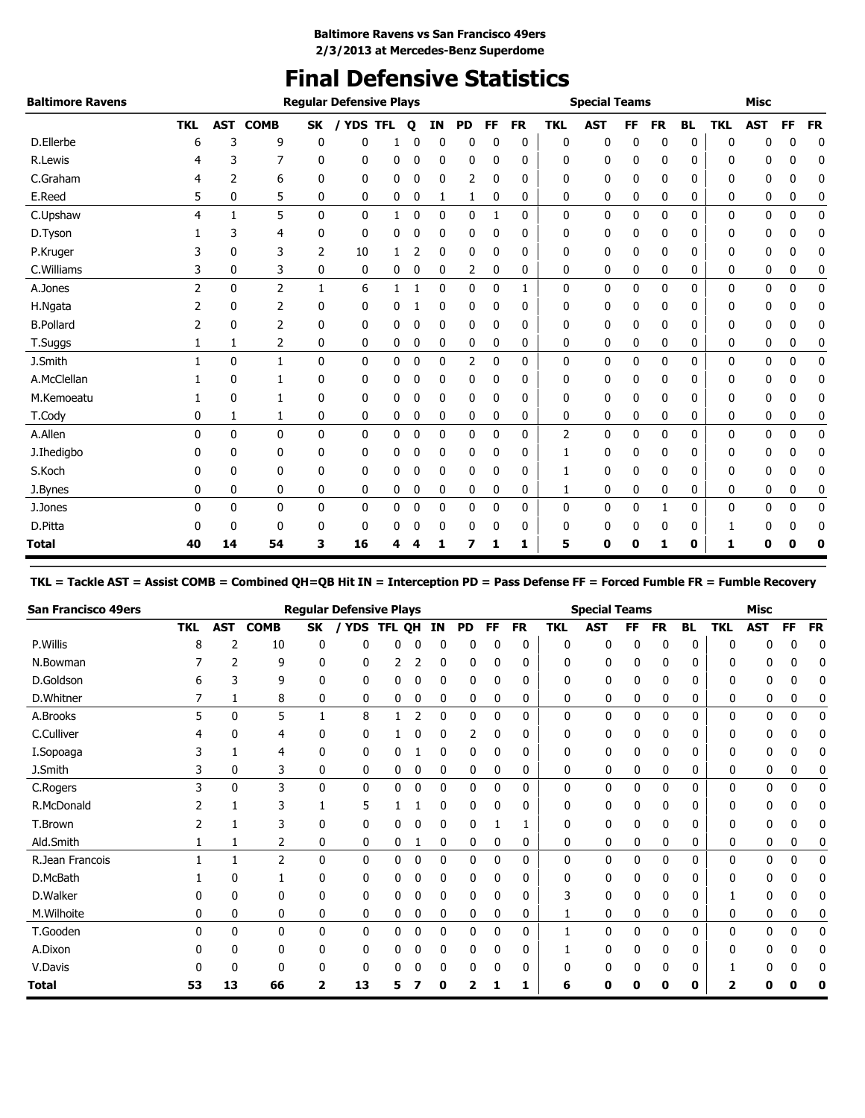# **Final Defensive Statistics**

| <b>Baltimore Ravens</b> |                |              |                |              | <b>Regular Defensive Plays</b> |   |             |             |              |    |           |              | <b>Special Teams</b> |           |              |              |              | <b>Misc</b> |             |           |
|-------------------------|----------------|--------------|----------------|--------------|--------------------------------|---|-------------|-------------|--------------|----|-----------|--------------|----------------------|-----------|--------------|--------------|--------------|-------------|-------------|-----------|
|                         | <b>TKL</b>     | <b>AST</b>   | <b>COMB</b>    | <b>SK</b>    | / YDS TFL                      |   | $\mathbf o$ | <b>IN</b>   | <b>PD</b>    | FF | <b>FR</b> | <b>TKL</b>   | <b>AST</b>           | <b>FF</b> | <b>FR</b>    | <b>BL</b>    | <b>TKL</b>   | <b>AST</b>  | FF          | <b>FR</b> |
| D.Ellerbe               | 6              | 3            | 9              | 0            | 0                              |   | 0           | 0           | 0            | 0  | 0         | 0            | 0                    | 0         | 0            | 0            | $\mathbf{0}$ | 0           | 0           | 0         |
| R.Lewis                 |                | 3            | 7              | 0            | 0                              | 0 |             | 0           | 0            | 0  | 0         | 0            | 0                    | 0         | 0            | 0            | 0            | 0           | 0           | 0         |
| C.Graham                | 4              | 2            | 6              | 0            | 0                              | 0 | 0           | 0           | 2            | 0  | 0         | 0            | 0                    | 0         | 0            | 0            | 0            | 0           | 0           | 0         |
| E.Reed                  | 5              | 0            | 5              | 0            | 0                              | 0 | 0           | 1           | 1            | 0  | 0         | 0            | 0                    | 0         | 0            | 0            | 0            | 0           | 0           | 0         |
| C.Upshaw                | 4              | 1            | 5              | $\mathbf{0}$ | $\mathbf{0}$                   | 1 | 0           | $\mathbf 0$ | $\mathbf{0}$ | 1  | 0         | $\mathbf{0}$ | 0                    | 0         | $\mathbf{0}$ | $\mathbf{0}$ | $\mathbf{0}$ | 0           | $\mathbf 0$ | 0         |
| D.Tyson                 |                | 3            | 4              | $\mathbf{0}$ | 0                              | 0 | 0           | 0           | 0            | 0  | 0         | 0            | 0                    | 0         | 0            | 0            | 0            | 0           | 0           | 0         |
| P.Kruger                |                | 0            | 3              | 2            | 10                             |   |             | 0           | 0            | 0  | 0         | 0            | 0                    | 0         | 0            | 0            | 0            | 0           | 0           | 0         |
| C.Williams              | 3              | 0            | 3              | 0            | 0                              | 0 | 0           | 0           | 2            | 0  | 0         | 0            | 0                    | 0         | 0            | 0            | 0            | 0           | 0           | 0         |
| A.Jones                 | $\overline{2}$ | $\mathbf{0}$ | $\overline{2}$ | 1            | 6                              | 1 |             | $\mathbf 0$ | 0            | 0  | 1         | 0            | 0                    | 0         | 0            | 0            | $\mathbf 0$  | 0           | 0           | 0         |
| H.Ngata                 | 2              | $\mathbf 0$  | $\overline{2}$ | 0            | 0                              | 0 |             | 0           | 0            | 0  | 0         | 0            | 0                    | 0         | 0            | 0            | 0            | 0           | 0           | 0         |
| <b>B.Pollard</b>        |                | 0            | 2              | 0            | 0                              | 0 | 0           | 0           | 0            | 0  | 0         | 0            | 0                    | 0         | 0            | 0            | 0            | 0           | 0           | 0         |
| T.Suggs                 | 1              | 1            | 2              | 0            | 0                              | 0 | 0           | $\mathbf 0$ | 0            | 0  | 0         | 0            | 0                    | 0         | 0            | 0            | 0            | 0           | 0           | 0         |
| J.Smith                 |                | 0            | 1              | $\mathbf{0}$ | 0                              | 0 | 0           | $\mathbf 0$ | 2            | 0  | 0         | 0            | 0                    | 0         | 0            | 0            | 0            | 0           | 0           | 0         |
| A.McClellan             |                | 0            |                | 0            | 0                              | 0 | 0           | 0           | 0            | 0  | 0         | 0            | 0                    | 0         | 0            | 0            | 0            | 0           | 0           | 0         |
| M.Kemoeatu              |                | 0            |                | 0            | 0                              | 0 | 0           | 0           | 0            | 0  | 0         | 0            | 0                    | 0         | 0            | 0            | 0            | 0           | 0           | 0         |
| T.Cody                  | 0              | 1            | 1              | 0            | 0                              | 0 | 0           | 0           | 0            | 0  | 0         | 0            | 0                    | 0         | 0            | 0            | 0            | 0           | 0           | 0         |
| A.Allen                 | 0              | 0            | 0              | $\mathbf{0}$ | 0                              | 0 | 0           | 0           | 0            | 0  | 0         | 2            | 0                    | 0         | 0            | 0            | 0            | 0           | 0           | 0         |
| J.Ihedigbo              | 0              | 0            | 0              | 0            | 0                              | 0 | 0           | 0           | 0            | 0  | 0         | 1            | 0                    | 0         | 0            | 0            | 0            | 0           | 0           | 0         |
| S.Koch                  |                | 0            | 0              | 0            | $\mathbf{0}$                   | 0 | 0           | 0           | 0            | 0  | 0         | 1            | 0                    | 0         | 0            | 0            | 0            | 0           | 0           | 0         |
| J.Bynes                 | 0              | 0            | 0              | 0            | 0                              | 0 | 0           | 0           | 0            | 0  | 0         | 1            | 0                    | 0         | 0            | 0            | 0            | 0           | 0           | 0         |
| J.Jones                 | 0              | 0            | 0              | 0            | 0                              | 0 | 0           | $\mathbf 0$ | 0            | 0  | 0         | 0            | 0                    | 0         |              | 0            | 0            | 0           | $\mathbf 0$ | 0         |
| D.Pitta                 |                | 0            | 0              | 0            | 0                              | 0 |             | 0           | 0            | 0  | 0         | 0            | 0                    | 0         | 0            | 0            |              | 0           | 0           | 0         |
| <b>Total</b>            | 40             | 14           | 54             | 3            | 16                             | 4 |             | П           |              | 1  | 1         | 5            | 0                    | 0         | 1            | 0            | 1            | 0           | 0           | 0         |

**TKL = Tackle AST = Assist COMB = Combined QH=QB Hit IN = Interception PD = Pass Defense FF = Forced Fumble FR = Fumble Recovery**

| <b>San Francisco 49ers</b> |            |              |              |              | <b>Regular Defensive Plays</b> |              |    |           |              |              |           |     | <b>Special Teams</b> |     |              |           |            | <b>Misc</b> |    |           |
|----------------------------|------------|--------------|--------------|--------------|--------------------------------|--------------|----|-----------|--------------|--------------|-----------|-----|----------------------|-----|--------------|-----------|------------|-------------|----|-----------|
|                            | <b>TKL</b> | <b>AST</b>   | <b>COMB</b>  | SK           | <b>YDS</b>                     | <b>TFL</b>   | QH | <b>IN</b> | <b>PD</b>    | FF           | <b>FR</b> | TKL | <b>AST</b>           | FF. | <b>FR</b>    | <b>BL</b> | <b>TKL</b> | <b>AST</b>  | FF | <b>FR</b> |
| P.Willis                   | 8          | 2            | 10           | 0            | 0                              | 0            | 0  | 0         | 0            | 0            | 0         | 0   | 0                    | 0   | 0            | 0         | n          | 0           | 0  | 0         |
| N.Bowman                   |            | 2            | 9            | 0            | $\mathbf{0}$                   |              |    | 0         | 0            | 0            | 0         | 0   | 0                    | 0   | 0            | 0         | n          |             |    |           |
| D.Goldson                  | h          | 3            | 9            | 0            | 0                              | 0            | 0  | 0         | 0            | 0            | 0         | 0   | 0                    | 0   | 0            | 0         | 0          | 0           | 0  |           |
| D.Whitner                  |            |              | 8            | 0            | 0                              | 0            | 0  | 0         | 0            | 0            | 0         | 0   | 0                    | 0   | 0            | 0         | 0          | 0           | 0  |           |
| A.Brooks                   | 5          | $\mathbf{0}$ | 5            | 1            | 8                              |              | 2  | 0         | 0            | $\mathbf{0}$ | 0         | 0   | 0                    | 0   | $\mathbf{0}$ | 0         | 0          | 0           | 0  |           |
| C.Culliver                 | 4          | 0            | 4            | 0            | 0                              |              |    | 0         | 2            | 0            | 0         | 0   | 0                    | 0   | 0            | 0         | 0          | 0           |    |           |
| I.Sopoaga                  | 3          |              | 4            | 0            | 0                              | 0            |    | 0         | 0            | 0            | 0         | 0   | 0                    | 0   | 0            | 0         | 0          | 0           | 0  |           |
| J.Smith                    | 3          | 0            | 3            | 0            | 0                              | 0            | 0  | 0         | 0            | 0            | 0         | 0   | 0                    | 0   | 0            | 0         | 0          | 0           | 0  |           |
| C.Rogers                   | 3          | $\mathbf{0}$ | 3            | 0            | 0                              | 0            | 0  | 0         | 0            | 0            | 0         | 0   | $\mathbf{0}$         | 0   | 0            | 0         | 0          | 0           | 0  |           |
| R.McDonald                 |            |              | 3            |              | 5                              |              |    | 0         | 0            | 0            | 0         | 0   | 0                    | 0   | 0            | 0         | 0          | 0           | 0  |           |
| T.Brown                    |            |              | 3            | 0            | 0                              | 0            | 0  | 0         | 0            |              |           | 0   | 0                    | 0   | 0            | 0         | 0          | 0           | 0  |           |
| Ald.Smith                  |            |              | 2            | 0            | 0                              | 0            |    | 0         | 0            | 0            | 0         | 0   | 0                    | 0   | 0            | 0         | 0          | 0           | 0  |           |
| R.Jean Francois            |            |              | 2            | $\mathbf{0}$ | 0                              | $\mathbf{0}$ | 0  | 0         | 0            | 0            | 0         | 0   | 0                    | 0   | $\mathbf{0}$ | 0         | 0          | 0           | 0  |           |
| D.McBath                   |            | 0            |              | 0            | 0                              | 0            | 0  | 0         | 0            | 0            | 0         | 0   | 0                    | 0   | 0            | 0         | 0          | 0           | 0  | 0         |
| D.Walker                   |            | 0            | 0            | 0            | 0                              | 0            | 0  | 0         | 0            | 0            | 0         | 3   | 0                    | 0   | 0            | 0         |            | 0           | 0  |           |
| M.Wilhoite                 | 0          | 0            | 0            | 0            | 0                              | 0            | 0  | 0         | 0            | 0            | 0         |     | 0                    | 0   | 0            | 0         | 0          | 0           | 0  | 0         |
| T.Gooden                   | n          | $\mathbf{0}$ | 0            | 0            | $\mathbf{0}$                   | 0            | 0  | 0         | $\mathbf{0}$ | 0            | 0         |     | 0                    | 0   | 0            | 0         | 0          | 0           | 0  |           |
| A.Dixon                    |            | 0            | 0            | 0            | 0                              | 0            |    | 0         | 0            | 0            | 0         |     | 0                    | 0   | 0            | 0         | 0          |             |    |           |
| V.Davis                    |            | n            | <sup>0</sup> | ŋ            | 0                              | 0            | 0  | 0         | 0            | 0            | 0         | ŋ   | 0                    | 0   | 0            | 0         |            | 0           | U  |           |
| <b>Total</b>               | 53         | 13           | 66           | 2            | 13                             |              |    | ŋ         | 2            |              |           | 6   | ŋ                    | Ω   | 0            | 0         | 2          |             |    |           |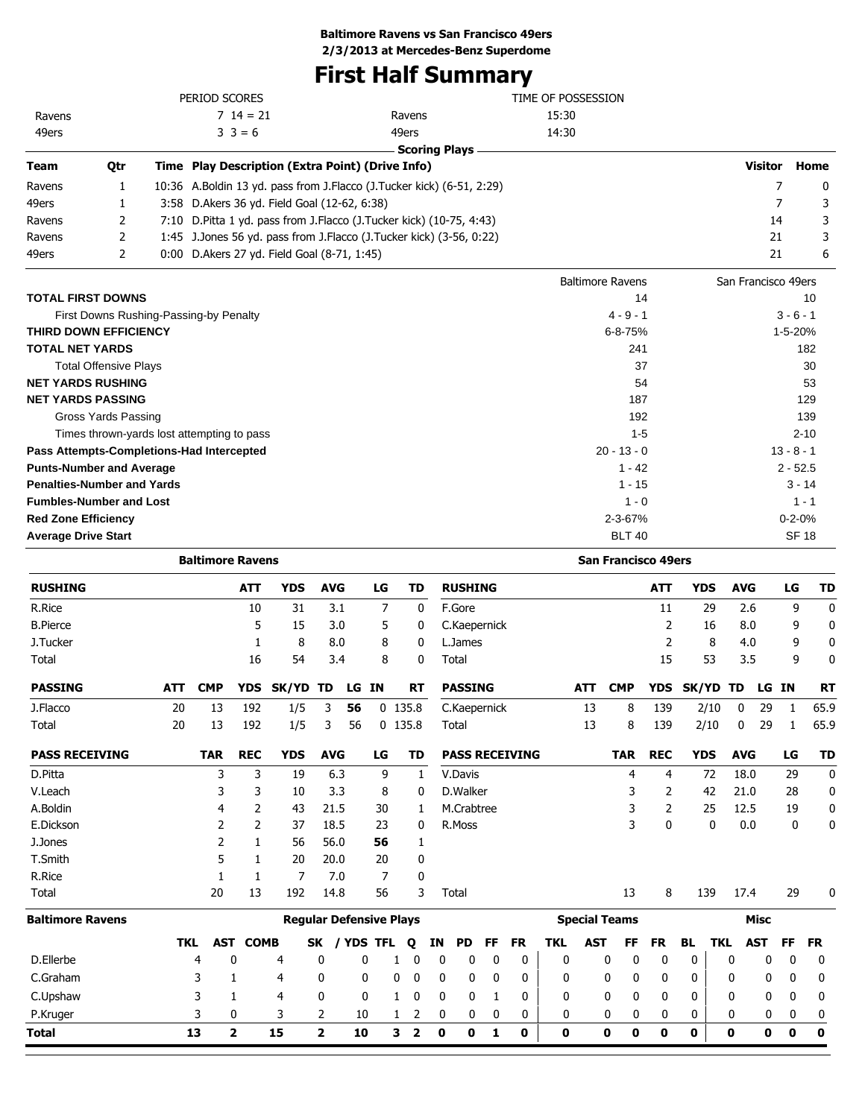### **First Half Summary**

|                            |                                   |      | PERIOD SCORES                                                          |                                                 | TIME OF POSSESSION         |                          |              |
|----------------------------|-----------------------------------|------|------------------------------------------------------------------------|-------------------------------------------------|----------------------------|--------------------------|--------------|
| Ravens                     |                                   |      | $714 = 21$                                                             | Ravens                                          | 15:30                      |                          |              |
| 49ers                      |                                   |      | $3 \ 3 = 6$                                                            | 49ers                                           | 14:30                      |                          |              |
|                            |                                   |      |                                                                        | <b>Scoring Plays</b>                            |                            |                          |              |
| <b>Team</b>                | Qtr                               |      | Time Play Description (Extra Point) (Drive Info)                       |                                                 |                            | <b>Visitor</b>           | Home         |
| Ravens                     | 1                                 |      | 10:36 A.Boldin 13 yd. pass from J.Flacco (J.Tucker kick) (6-51, 2:29)  |                                                 |                            | 7                        | 0            |
| 49ers                      | 1                                 | 3:58 | D. Akers 36 yd. Field Goal (12-62, 6:38)                               |                                                 |                            | 7                        | 3            |
| Ravens                     | 2                                 |      | 7:10 D. Pitta 1 yd. pass from J. Flacco (J. Tucker kick) (10-75, 4:43) |                                                 |                            | 14                       | 3            |
| Ravens                     | 2                                 |      | 1:45 J.Jones 56 yd. pass from J.Flacco (J.Tucker kick) (3-56, 0:22)    |                                                 |                            | 21                       | 3            |
| 49ers                      | 2                                 |      | 0:00 D. Akers 27 yd. Field Goal (8-71, 1:45)                           |                                                 |                            | 21                       | 6            |
|                            |                                   |      |                                                                        |                                                 | <b>Baltimore Ravens</b>    | San Francisco 49ers      |              |
|                            | <b>TOTAL FIRST DOWNS</b>          |      |                                                                        |                                                 | 14                         |                          | 10           |
|                            |                                   |      | First Downs Rushing-Passing-by Penalty                                 |                                                 | $4 - 9 - 1$                |                          | $3 - 6 - 1$  |
|                            | <b>THIRD DOWN EFFICIENCY</b>      |      |                                                                        |                                                 | $6 - 8 - 75%$              |                          | 1-5-20%      |
| <b>TOTAL NET YARDS</b>     |                                   |      |                                                                        |                                                 | 241                        |                          | 182          |
|                            | <b>Total Offensive Plays</b>      |      |                                                                        |                                                 | 37                         |                          | 30           |
|                            | <b>NET YARDS RUSHING</b>          |      |                                                                        |                                                 | 54                         |                          | 53           |
|                            | <b>NET YARDS PASSING</b>          |      |                                                                        |                                                 | 187                        |                          | 129          |
|                            | Gross Yards Passing               |      |                                                                        |                                                 | 192                        |                          | 139          |
|                            |                                   |      | Times thrown-yards lost attempting to pass                             |                                                 | $1 - 5$                    |                          | $2 - 10$     |
|                            |                                   |      | Pass Attempts-Completions-Had Intercepted                              |                                                 | $20 - 13 - 0$              |                          | $13 - 8 - 1$ |
|                            | <b>Punts-Number and Average</b>   |      |                                                                        |                                                 | $1 - 42$                   |                          | $2 - 52.5$   |
|                            | <b>Penalties-Number and Yards</b> |      |                                                                        |                                                 | $1 - 15$                   |                          | $3 - 14$     |
|                            | <b>Fumbles-Number and Lost</b>    |      |                                                                        |                                                 | $1 - 0$                    |                          | $1 - 1$      |
| <b>Red Zone Efficiency</b> |                                   |      |                                                                        |                                                 | $2 - 3 - 67%$              |                          | $0 - 2 - 0%$ |
| <b>Average Drive Start</b> |                                   |      |                                                                        |                                                 | <b>BLT 40</b>              |                          | <b>SF 18</b> |
|                            |                                   |      | <b>Baltimore Ravens</b>                                                |                                                 | <b>San Francisco 49ers</b> |                          |              |
| <b>RUSHING</b>             |                                   |      | <b>YDS</b><br><b>ATT</b>                                               | <b>AVG</b><br>LG<br><b>TD</b><br><b>RUSHING</b> | <b>ATT</b>                 | <b>YDS</b><br><b>AVG</b> | LG<br>TD     |

| <b>RUSHING</b>          |            |            | <b>ATT</b>   | <b>YDS</b> | <b>AVG</b>   |                                | LG        |           | TD                      |             | <b>RUSHING</b> |           |                       |              |            |                      | <b>ATT</b> | <b>YDS</b> |            | <b>AVG</b> |             | LG        | TD          |
|-------------------------|------------|------------|--------------|------------|--------------|--------------------------------|-----------|-----------|-------------------------|-------------|----------------|-----------|-----------------------|--------------|------------|----------------------|------------|------------|------------|------------|-------------|-----------|-------------|
| R.Rice                  |            |            | 10           | 31         |              | 3.1                            | 7         |           | 0                       |             | F.Gore         |           |                       |              |            |                      | 11         |            | 29         | 2.6        |             | 9         | $\mathbf 0$ |
| <b>B.Pierce</b>         |            |            | 5            | 15         |              | 3.0                            | 5         |           | 0                       |             | C.Kaepernick   |           |                       |              |            |                      | 2          |            | 16         | 8.0        |             | 9         | 0           |
| J.Tucker                |            |            |              | 8          |              | 8.0                            | 8         |           | 0                       |             | L.James        |           |                       |              |            |                      | 2          |            | 8          | 4.0        |             | 9         | 0           |
| Total                   |            |            | 16           | 54         |              | 3.4                            | 8         |           | 0                       |             | Total          |           |                       |              |            |                      | 15         |            | 53         | 3.5        |             | 9         | 0           |
| <b>PASSING</b>          | <b>ATT</b> | <b>CMP</b> | <b>YDS</b>   | SK/YD      | TD           | LG .                           | <b>IN</b> |           | <b>RT</b>               |             | <b>PASSING</b> |           |                       |              | <b>ATT</b> | <b>CMP</b>           | <b>YDS</b> | SK/YD TD   |            |            | LG IN       |           | <b>RT</b>   |
| J.Flacco                | 20         | 13         | 192          | 1/5        | 3            | 56                             |           | $0$ 135.8 |                         |             | C.Kaepernick   |           |                       |              | 13         | 8                    | 139        |            | 2/10       | 0          | 29          | 1         | 65.9        |
| Total                   | 20         | 13         | 192          | 1/5        | 3            | 56                             |           | $0$ 135.8 |                         |             | Total          |           |                       |              | 13         | 8                    | 139        |            | 2/10       | 0          | 29          | -1        | 65.9        |
| <b>PASS RECEIVING</b>   |            | <b>TAR</b> | <b>REC</b>   | <b>YDS</b> | <b>AVG</b>   |                                | LG        |           | TD                      |             |                |           | <b>PASS RECEIVING</b> |              |            | <b>TAR</b>           | <b>REC</b> | <b>YDS</b> |            | <b>AVG</b> |             | LG        | <b>TD</b>   |
| D.Pitta                 |            | 3          | 3            | 19         |              | 6.3                            | 9         |           | 1                       |             | V.Davis        |           |                       |              |            | 4                    | 4          |            | 72         | 18.0       |             | 29        | $\mathbf 0$ |
| V.Leach                 |            | 3          | 3            | 10         |              | 3.3                            | 8         |           | 0                       |             | D.Walker       |           |                       |              |            |                      | 2          |            | 42         | 21.0       |             | 28        | 0           |
| A.Boldin                |            | 4          | 2            | 43         | 21.5         |                                | 30        |           | 1                       |             | M.Crabtree     |           |                       |              |            | 3                    | 2          |            | 25         | 12.5       |             | 19        | 0           |
| E.Dickson               |            | 2          | 2            | 37         | 18.5         |                                | 23        |           | 0                       |             | R.Moss         |           |                       |              |            | 3                    | 0          |            | 0          | 0.0        |             | 0         | $\mathbf 0$ |
| J.Jones                 |            | 2          | 1            | 56         | 56.0         |                                | 56        |           | 1                       |             |                |           |                       |              |            |                      |            |            |            |            |             |           |             |
| T.Smith                 |            | 5          | 1            | 20         | 20.0         |                                | 20        |           | 0                       |             |                |           |                       |              |            |                      |            |            |            |            |             |           |             |
| R.Rice                  |            |            | 1            | 7          |              | 7.0                            | 7         |           | 0                       |             |                |           |                       |              |            |                      |            |            |            |            |             |           |             |
| Total                   |            | 20         | 13           | 192        | 14.8         |                                | 56        |           | 3                       |             | Total          |           |                       |              |            | 13                   | 8          |            | 139        | 17.4       |             | 29        | 0           |
| <b>Baltimore Ravens</b> |            |            |              |            |              | <b>Reqular Defensive Plays</b> |           |           |                         |             |                |           |                       |              |            | <b>Special Teams</b> |            |            |            |            | <b>Misc</b> |           |             |
|                         | <b>TKL</b> | AST        | <b>COMB</b>  |            | <b>SK</b>    | / YDS TFL                      |           |           | Q                       | ΙN          | <b>PD</b>      | <b>FF</b> | <b>FR</b>             | <b>TKL</b>   | <b>AST</b> | FF                   | <b>FR</b>  | BL.        | <b>TKL</b> |            | <b>AST</b>  | <b>FF</b> | <b>FR</b>   |
| D.Ellerbe               |            | 4          | 0            | 4          | 0            | 0                              |           |           | 0                       | 0           | 0              | 0         | 0                     | $\mathbf{0}$ |            | 0<br>0               | 0          | 0          |            | 0          | 0           | 0         | 0           |
| C.Graham                |            | 3          | 1            | 4          | 0            | 0                              |           | 0         | 0                       | 0           | 0              | 0         | 0                     | 0            |            | 0<br>0               | 0          | 0          |            | 0          | 0           | 0         | 0           |
| C.Upshaw                |            | 3          | 1            | 4          | 0            | 0                              |           | 1         | 0                       | 0           | 0              | 1         | 0                     | 0            |            | 0<br>0               | 0          | 0          |            | 0          | 0           | 0         | 0           |
| P.Kruger                |            | 3          | 0            | 3          | 2            | 10                             |           | 1         | 2                       | 0           | 0              | 0         | 0                     | 0            |            | 0<br>0               | 0          | 0          |            | 0          | 0           | 0         | 0           |
| Total                   |            | 13         | $\mathbf{z}$ | 15         | $\mathbf{2}$ | 10                             |           | 3         | $\overline{\mathbf{2}}$ | $\mathbf 0$ | 0              | 1         | 0                     | 0            |            | 0<br>0               | 0          | 0          |            | 0          | 0           | 0         | 0           |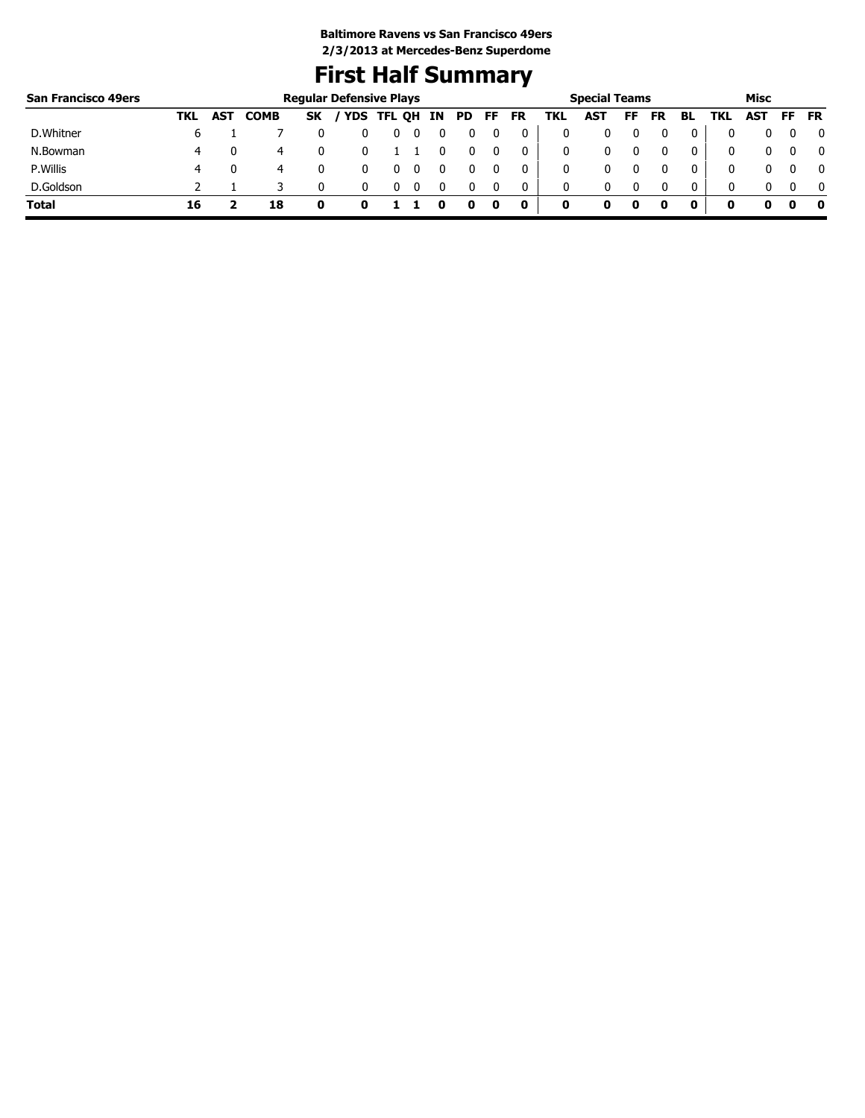### **First Half Summary**

| <b>San Francisco 49ers</b> |     |            |             |           | <b>Regular Defensive Plays</b> |                   |    |     |     |           |     | <b>Special Teams</b> |    |           |              |      | Misc |     |              |
|----------------------------|-----|------------|-------------|-----------|--------------------------------|-------------------|----|-----|-----|-----------|-----|----------------------|----|-----------|--------------|------|------|-----|--------------|
|                            | TKL | <b>AST</b> | <b>COMB</b> | <b>SK</b> |                                | <b>YDS TFL QH</b> | IN | PD. | FF. | <b>FR</b> | TKL | AST                  | FF | <b>FR</b> | BL           | TKL. | AST  | FF. | <b>FR</b>    |
| D. Whitner                 | b   |            |             |           |                                | υ                 |    |     |     | 0         |     |                      |    |           |              |      |      |     | 0            |
| N.Bowman                   | 4   |            | 4           |           |                                |                   |    |     |     | 0         |     | 0                    |    |           | 0            |      |      |     | 0            |
| P. Willis                  |     |            | 4           |           |                                |                   |    |     |     |           |     |                      |    |           | 0            | 0    |      |     | $\mathbf{0}$ |
| D.Goldson                  |     |            |             |           |                                |                   |    |     |     | 0         | 0   | 0                    |    |           | $\mathbf{0}$ | 0    |      |     | $\mathbf{0}$ |
| Total                      | 16  |            | 18          |           |                                |                   |    |     |     | 0         | 0   |                      | 0  |           | 0            |      |      |     | - 0          |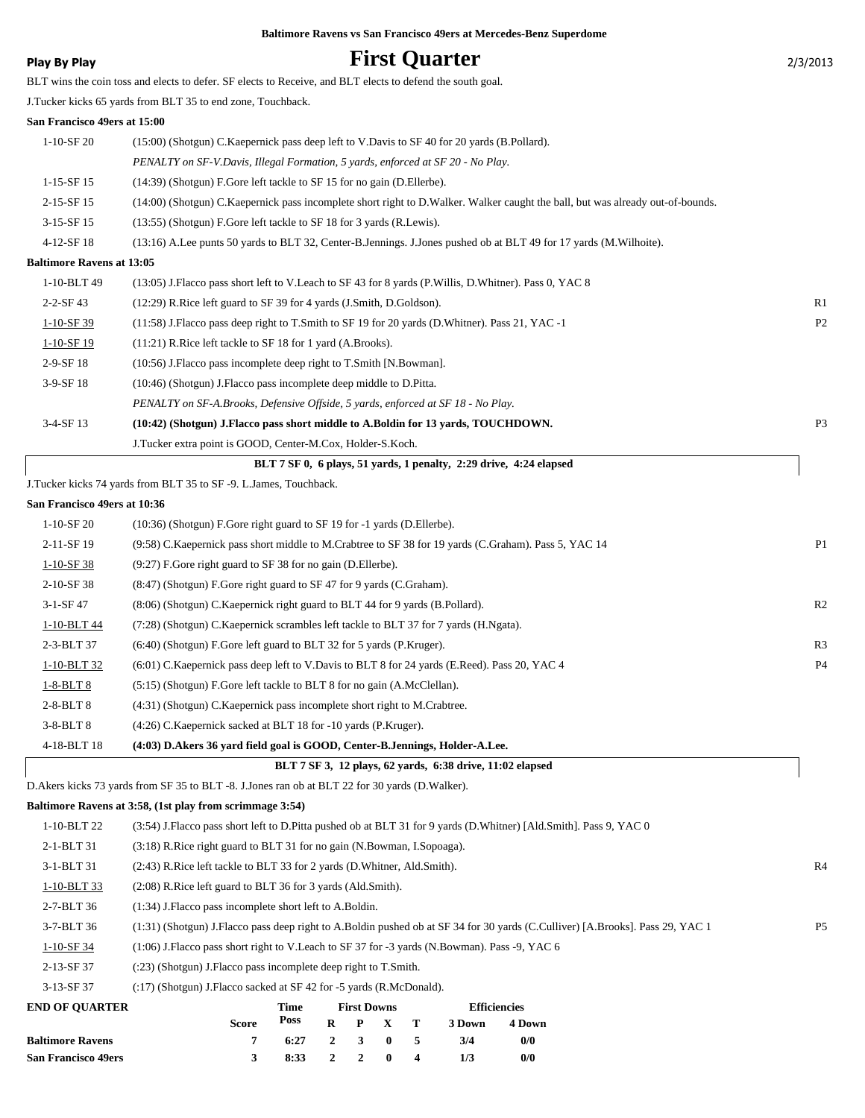### **Play By Play Play Play Play First Quarter**

|  | 2/3/2013 |  |
|--|----------|--|
|  |          |  |

|                                  | BLT wins the coin toss and elects to defer. SF elects to Receive, and BLT elects to defend the south goal.                     |                |
|----------------------------------|--------------------------------------------------------------------------------------------------------------------------------|----------------|
|                                  | J.Tucker kicks 65 yards from BLT 35 to end zone, Touchback.                                                                    |                |
| San Francisco 49ers at 15:00     |                                                                                                                                |                |
| $1-10-SF20$                      | (15:00) (Shotgun) C. Kaepernick pass deep left to V. Davis to SF 40 for 20 yards (B. Pollard).                                 |                |
|                                  | PENALTY on SF-V.Davis, Illegal Formation, 5 yards, enforced at SF 20 - No Play.                                                |                |
| $1-15-SF15$                      | (14:39) (Shotgun) F.Gore left tackle to SF 15 for no gain (D.Ellerbe).                                                         |                |
| 2-15-SF 15                       | (14:00) (Shotgun) C.Kaepernick pass incomplete short right to D.Walker. Walker caught the ball, but was already out-of-bounds. |                |
| $3-15-SF15$                      | (13:55) (Shotgun) F.Gore left tackle to SF 18 for 3 yards (R.Lewis).                                                           |                |
| 4-12-SF 18                       | (13:16) A.Lee punts 50 yards to BLT 32, Center-B.Jennings. J.Jones pushed ob at BLT 49 for 17 yards (M.Wilhoite).              |                |
| <b>Baltimore Ravens at 13:05</b> |                                                                                                                                |                |
| 1-10-BLT 49                      | (13:05) J.Flacco pass short left to V.Leach to SF 43 for 8 yards (P.Willis, D.Whitner). Pass 0, YAC 8                          |                |
| $2 - 2 - SF$ 43                  | (12:29) R.Rice left guard to SF 39 for 4 yards (J.Smith, D.Goldson).                                                           | R1             |
| $1-10-SF$ 39                     | (11:58) J.Flacco pass deep right to T.Smith to SF 19 for 20 yards (D.Whitner). Pass 21, YAC -1                                 | P <sub>2</sub> |
| 1-10-SF 19                       | (11:21) R.Rice left tackle to SF 18 for 1 yard (A.Brooks).                                                                     |                |
| 2-9-SF 18                        | (10:56) J.Flacco pass incomplete deep right to T.Smith [N.Bowman].                                                             |                |
| 3-9-SF 18                        | (10:46) (Shotgun) J. Flacco pass incomplete deep middle to D. Pitta.                                                           |                |
|                                  | PENALTY on SF-A.Brooks, Defensive Offside, 5 yards, enforced at SF 18 - No Play.                                               |                |
| 3-4-SF 13                        | (10:42) (Shotgun) J.Flacco pass short middle to A.Boldin for 13 yards, TOUCHDOWN.                                              | P <sub>3</sub> |
|                                  | J.Tucker extra point is GOOD, Center-M.Cox, Holder-S.Koch.                                                                     |                |
|                                  | BLT 7 SF 0, 6 plays, 51 yards, 1 penalty, 2:29 drive, 4:24 elapsed                                                             |                |
|                                  | J.Tucker kicks 74 yards from BLT 35 to SF -9. L.James, Touchback.                                                              |                |
| San Francisco 49ers at 10:36     |                                                                                                                                |                |
| $1-10-SF20$                      | (10:36) (Shotgun) F.Gore right guard to SF 19 for -1 yards (D.Ellerbe).                                                        |                |
| $2-11-SF19$                      | (9.58) C. Kaepernick pass short middle to M. Crabtree to SF 38 for 19 yards (C. Graham). Pass 5, YAC 14                        | P <sub>1</sub> |
| $1-10-SF$ 38                     | (9:27) F.Gore right guard to SF 38 for no gain (D.Ellerbe).                                                                    |                |
| 2-10-SF 38                       | (8:47) (Shotgun) F.Gore right guard to SF 47 for 9 yards (C.Graham).                                                           |                |
| $3-1-SF$ 47                      | (8:06) (Shotgun) C.Kaepernick right guard to BLT 44 for 9 yards (B.Pollard).                                                   | R <sub>2</sub> |
| 1-10-BLT 44                      | (7:28) (Shotgun) C.Kaepernick scrambles left tackle to BLT 37 for 7 yards (H.Ngata).                                           |                |
| 2-3-BLT 37                       | (6:40) (Shotgun) F.Gore left guard to BLT 32 for 5 yards (P.Kruger).                                                           | R <sub>3</sub> |
| 1-10-BLT 32                      | (6:01) C. Kaepernick pass deep left to V. Davis to BLT 8 for 24 yards (E. Reed). Pass 20, YAC 4                                | P <sub>4</sub> |
| $1-8-BLT8$                       | (5:15) (Shotgun) F.Gore left tackle to BLT 8 for no gain (A.McClellan).                                                        |                |
| 2-8-BLT 8                        | (4:31) (Shotgun) C.Kaepernick pass incomplete short right to M.Crabtree.                                                       |                |
| 3-8-BLT 8                        | (4:26) C.Kaepernick sacked at BLT 18 for -10 yards (P.Kruger).                                                                 |                |
| 4-18-BLT 18                      | (4:03) D.Akers 36 yard field goal is GOOD, Center-B.Jennings, Holder-A.Lee.                                                    |                |
|                                  | BLT 7 SF 3, 12 plays, 62 yards, 6:38 drive, 11:02 elapsed                                                                      |                |
|                                  | D. Akers kicks 73 yards from SF 35 to BLT -8. J. Jones ran ob at BLT 22 for 30 yards (D. Walker).                              |                |
|                                  | Baltimore Ravens at 3:58, (1st play from scrimmage 3:54)                                                                       |                |
| 1-10-BLT 22                      | (3:54) J.Flacco pass short left to D.Pitta pushed ob at BLT 31 for 9 yards (D.Whitner) [Ald.Smith]. Pass 9, YAC 0              |                |
| 2-1-BLT 31                       | (3:18) R.Rice right guard to BLT 31 for no gain (N.Bowman, I.Sopoaga).                                                         |                |
| 3-1-BLT 31                       | (2:43) R.Rice left tackle to BLT 33 for 2 yards (D.Whitner, Ald.Smith).                                                        | R <sub>4</sub> |
| 1-10-BLT 33                      | (2:08) R.Rice left guard to BLT 36 for 3 yards (Ald.Smith).                                                                    |                |
| 2-7-BLT 36                       | (1:34) J.Flacco pass incomplete short left to A.Boldin.                                                                        |                |
| 3-7-BLT 36                       | (1:31) (Shotgun) J.Flacco pass deep right to A.Boldin pushed ob at SF 34 for 30 yards (C.Culliver) [A.Brooks]. Pass 29, YAC 1  | P <sub>5</sub> |
| $1 - 10 - SF$ 34                 | (1:06) J.Flacco pass short right to V.Leach to SF 37 for -3 yards (N.Bowman). Pass -9, YAC 6                                   |                |
| 2-13-SF 37                       | (:23) (Shotgun) J. Flacco pass incomplete deep right to T. Smith.                                                              |                |
| 3-13-SF 37                       | (:17) (Shotgun) J.Flacco sacked at SF 42 for -5 yards (R.McDonald).                                                            |                |
| <b>END OF QUARTER</b>            | <b>First Downs</b><br><b>Efficiencies</b><br>Time                                                                              |                |
|                                  | Poss<br>T<br><b>Score</b><br>R<br>P<br>X<br>3 Down<br>4 Down                                                                   |                |

**Baltimore Ravens 7 6:27 2 3 0 5 3/4 0/0 San Francisco 49ers 3 8:33 2 2 0 4 1/3 0/0**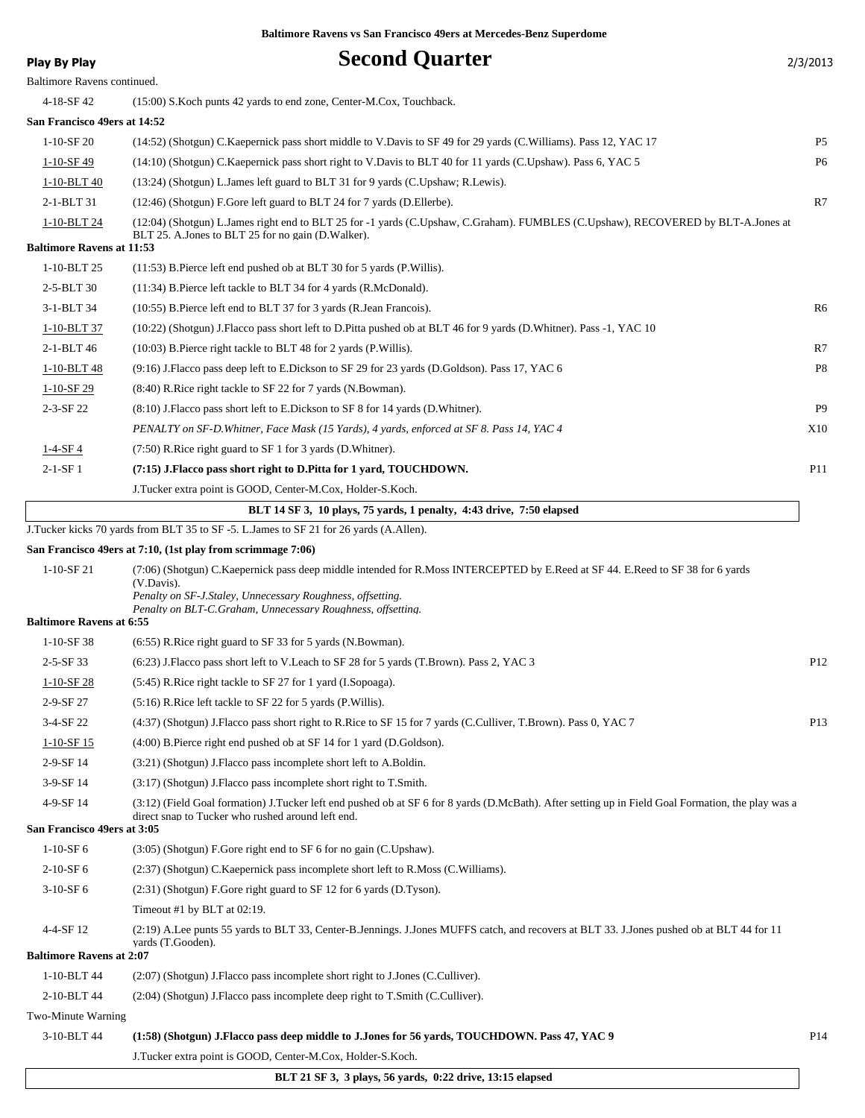| Play By Play                     | <b>Second Quarter</b>                                                                                                                                          | 2/3/2013        |
|----------------------------------|----------------------------------------------------------------------------------------------------------------------------------------------------------------|-----------------|
| Baltimore Ravens continued.      |                                                                                                                                                                |                 |
| 4-18-SF 42                       | (15:00) S. Koch punts 42 yards to end zone, Center-M. Cox, Touchback.                                                                                          |                 |
| San Francisco 49ers at 14:52     |                                                                                                                                                                |                 |
| $1-10-SF20$                      | (14:52) (Shotgun) C.Kaepernick pass short middle to V.Davis to SF 49 for 29 yards (C.Williams). Pass 12, YAC 17                                                | P5              |
| $1 - 10 - SF49$                  | (14:10) (Shotgun) C.Kaepernick pass short right to V.Davis to BLT 40 for 11 yards (C.Upshaw). Pass 6, YAC 5                                                    | P6              |
| 1-10-BLT 40                      | (13:24) (Shotgun) L. James left guard to BLT 31 for 9 yards (C. Upshaw; R. Lewis).                                                                             |                 |
| 2-1-BLT 31                       | (12:46) (Shotgun) F.Gore left guard to BLT 24 for 7 yards (D.Ellerbe).                                                                                         | R7              |
| 1-10-BLT 24                      | (12:04) (Shotgun) L.James right end to BLT 25 for -1 yards (C.Upshaw, C.Graham). FUMBLES (C.Upshaw), RECOVERED by BLT-A.Jones at                               |                 |
| <b>Baltimore Ravens at 11:53</b> | BLT 25. A. Jones to BLT 25 for no gain (D. Walker).                                                                                                            |                 |
| 1-10-BLT 25                      | $(11:53)$ B. Pierce left end pushed ob at BLT 30 for 5 yards (P. Willis).                                                                                      |                 |
| 2-5-BLT 30                       | (11:34) B.Pierce left tackle to BLT 34 for 4 yards (R.McDonald).                                                                                               |                 |
| $3 - 1 - BLT$ 34                 | (10:55) B. Pierce left end to BLT 37 for 3 yards (R. Jean Francois).                                                                                           | R6              |
| 1-10-BLT 37                      | (10:22) (Shotgun) J.Flacco pass short left to D.Pitta pushed ob at BLT 46 for 9 yards (D.Whitner). Pass -1, YAC 10                                             |                 |
| 2-1-BLT 46                       | $(10:03)$ B. Pierce right tackle to BLT 48 for 2 yards (P. Willis).                                                                                            | R7              |
| 1-10-BLT 48                      | (9:16) J.Flacco pass deep left to E.Dickson to SF 29 for 23 yards (D.Goldson). Pass 17, YAC 6                                                                  | P8              |
| $1-10-$ SF 29                    | (8:40) R.Rice right tackle to SF 22 for 7 yards (N.Bowman).                                                                                                    |                 |
| $2 - 3 - SF$ 22                  | (8.10) J. Flacco pass short left to E. Dickson to SF 8 for 14 yards (D. Whitner).                                                                              | P <sub>9</sub>  |
|                                  | PENALTY on SF-D. Whitner, Face Mask (15 Yards), 4 yards, enforced at SF 8. Pass 14, YAC 4                                                                      | X10             |
| $1-4-SF4$                        | (7:50) R.Rice right guard to SF 1 for 3 yards (D.Whitner).                                                                                                     |                 |
| $2-1-SF1$                        | (7:15) J.Flacco pass short right to D.Pitta for 1 yard, TOUCHDOWN.                                                                                             | <b>P11</b>      |
|                                  | J.Tucker extra point is GOOD, Center-M.Cox, Holder-S.Koch.                                                                                                     |                 |
|                                  | BLT 14 SF 3, 10 plays, 75 yards, 1 penalty, 4:43 drive, 7:50 elapsed                                                                                           |                 |
|                                  | J. Tucker kicks 70 yards from BLT 35 to SF -5. L. James to SF 21 for 26 yards (A.Allen).                                                                       |                 |
|                                  | San Francisco 49ers at 7:10, (1st play from scrimmage 7:06)                                                                                                    |                 |
| $1-10-SF21$                      | (7:06) (Shotgun) C.Kaepernick pass deep middle intended for R.Moss INTERCEPTED by E.Reed at SF 44. E.Reed to SF 38 for 6 yards<br>(V.Davis).                   |                 |
| <b>Baltimore Ravens at 6:55</b>  | Penalty on SF-J.Staley, Unnecessary Roughness, offsetting.<br>Penalty on BLT-C.Graham, Unnecessary Roughness, offsetting.                                      |                 |
| $1-10-SF$ 38                     | $(6:55)$ R. Rice right guard to SF 33 for 5 yards (N. Bowman).                                                                                                 |                 |
| $2 - 5 - SF$ 33                  | (6:23) J. Flacco pass short left to V. Leach to SF 28 for 5 yards (T. Brown). Pass 2, YAC 3                                                                    | P <sub>12</sub> |
| $1 - 10 - SF$ 28                 | (5:45) R.Rice right tackle to SF 27 for 1 yard (I.Sopoaga).                                                                                                    |                 |
| 2-9-SF 27                        | (5:16) R.Rice left tackle to SF 22 for 5 yards (P.Willis).                                                                                                     |                 |
| 3-4-SF 22                        | (4:37) (Shotgun) J.Flacco pass short right to R.Rice to SF 15 for 7 yards (C.Culliver, T.Brown). Pass 0, YAC 7                                                 | P <sub>13</sub> |
| $1-10-SF15$                      | $(4:00)$ B. Pierce right end pushed ob at SF 14 for 1 yard (D. Goldson).                                                                                       |                 |
| 2-9-SF 14                        | (3:21) (Shotgun) J.Flacco pass incomplete short left to A.Boldin.                                                                                              |                 |
| 3-9-SF 14                        | $(3:17)$ (Shotgun) J. Flacco pass incomplete short right to T. Smith.                                                                                          |                 |
| 4-9-SF 14                        | (3:12) (Field Goal formation) J.Tucker left end pushed ob at SF 6 for 8 yards (D.McBath). After setting up in Field Goal Formation, the play was a             |                 |
| San Francisco 49ers at 3:05      | direct snap to Tucker who rushed around left end.                                                                                                              |                 |
| $1-10-SF6$                       | (3:05) (Shotgun) F.Gore right end to SF 6 for no gain (C.Upshaw).                                                                                              |                 |
| $2-10-SF6$                       | (2:37) (Shotgun) C.Kaepernick pass incomplete short left to R.Moss (C.Williams).                                                                               |                 |
| $3-10-SF6$                       | (2:31) (Shotgun) F.Gore right guard to SF 12 for 6 yards (D.Tyson).                                                                                            |                 |
|                                  | Timeout #1 by BLT at 02:19.                                                                                                                                    |                 |
| 4-4-SF 12                        | (2:19) A.Lee punts 55 yards to BLT 33, Center-B.Jennings. J.Jones MUFFS catch, and recovers at BLT 33. J.Jones pushed ob at BLT 44 for 11<br>vards (T.Gooden). |                 |
| <b>Baltimore Ravens at 2:07</b>  |                                                                                                                                                                |                 |
| 1-10-BLT 44                      | (2:07) (Shotgun) J. Flacco pass incomplete short right to J. Jones (C. Culliver).                                                                              |                 |
| 2-10-BLT 44                      | (2:04) (Shotgun) J.Flacco pass incomplete deep right to T.Smith (C.Culliver).                                                                                  |                 |
| Two-Minute Warning               |                                                                                                                                                                |                 |
| 3-10-BLT 44                      | (1:58) (Shotgun) J.Flacco pass deep middle to J.Jones for 56 yards, TOUCHDOWN. Pass 47, YAC 9                                                                  | P <sub>14</sub> |

J.Tucker extra point is GOOD, Center-M.Cox, Holder-S.Koch.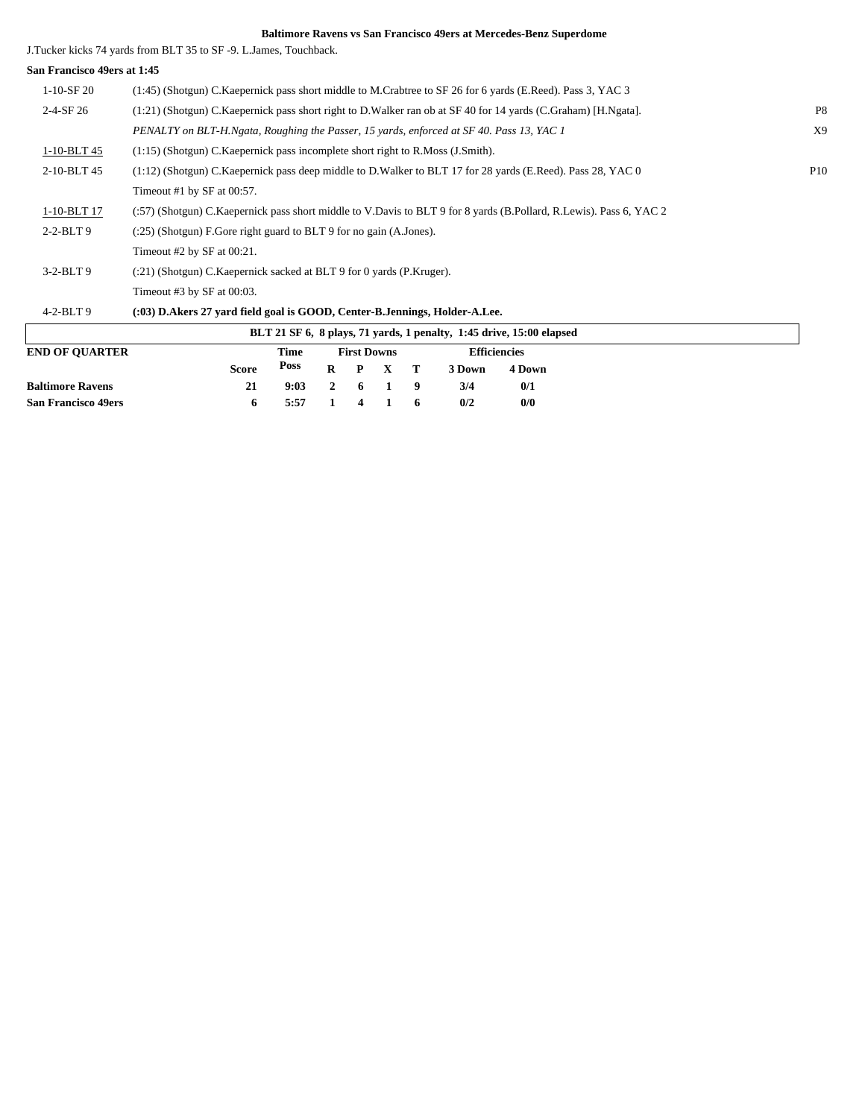J.Tucker kicks 74 yards from BLT 35 to SF -9. L.James, Touchback.

**Baltimore Ravens 21 9:03 2 6 1 9 3/4 0/1 San Francisco 49ers 6 5:57 1 4 1 6 0/2 0/0**

| San Francisco 49ers at 1:45 |                                                                                                                    |                |
|-----------------------------|--------------------------------------------------------------------------------------------------------------------|----------------|
| $1-10-SF20$                 | (1:45) (Shotgun) C. Kaepernick pass short middle to M. Crabtree to SF 26 for 6 yards (E. Reed). Pass 3, YAC 3      |                |
| $2 - 4 - SF$ 26             | (1:21) (Shotgun) C.Kaepernick pass short right to D.Walker ran ob at SF 40 for 14 yards (C.Graham) [H.Ngata].      | P <sub>8</sub> |
|                             | PENALTY on BLT-H.Ngata, Roughing the Passer, 15 yards, enforced at SF 40. Pass 13, YAC 1                           | X9             |
| 1-10-BLT 45                 | $(1:15)$ (Shotgun) C. Kaepernick pass incomplete short right to R. Moss (J. Smith).                                |                |
| 2-10-BLT 45                 | (1:12) (Shotgun) C.Kaepernick pass deep middle to D.Walker to BLT 17 for 28 yards (E.Reed). Pass 28, YAC 0         | <b>P10</b>     |
|                             | Timeout #1 by SF at $00:57$ .                                                                                      |                |
| 1-10-BLT 17                 | (:57) (Shotgun) C.Kaepernick pass short middle to V.Davis to BLT 9 for 8 yards (B.Pollard, R.Lewis). Pass 6, YAC 2 |                |
| $2-2-BLT9$                  | (:25) (Shotgun) F.Gore right guard to BLT 9 for no gain (A.Jones).                                                 |                |
|                             | Timeout #2 by SF at $00:21$ .                                                                                      |                |
| $3-2-BLT9$                  | (:21) (Shotgun) C.Kaepernick sacked at BLT 9 for 0 yards (P.Kruger).                                               |                |
|                             | Timeout #3 by SF at $00:03$ .                                                                                      |                |
| $4-2-BLT9$                  | (:03) D.Akers 27 yard field goal is GOOD, Center-B.Jennings, Holder-A.Lee.                                         |                |
|                             | BLT 21 SF 6, 8 plays, 71 yards, 1 penalty, 1:45 drive, 15:00 elapsed                                               |                |
| <b>END OF QUARTER</b>       | <b>Efficiencies</b><br><b>First Downs</b><br>Time                                                                  |                |
|                             | <b>Poss</b><br><b>Score</b><br>R<br>P<br>X<br>т<br>3 Down<br>4 Down                                                |                |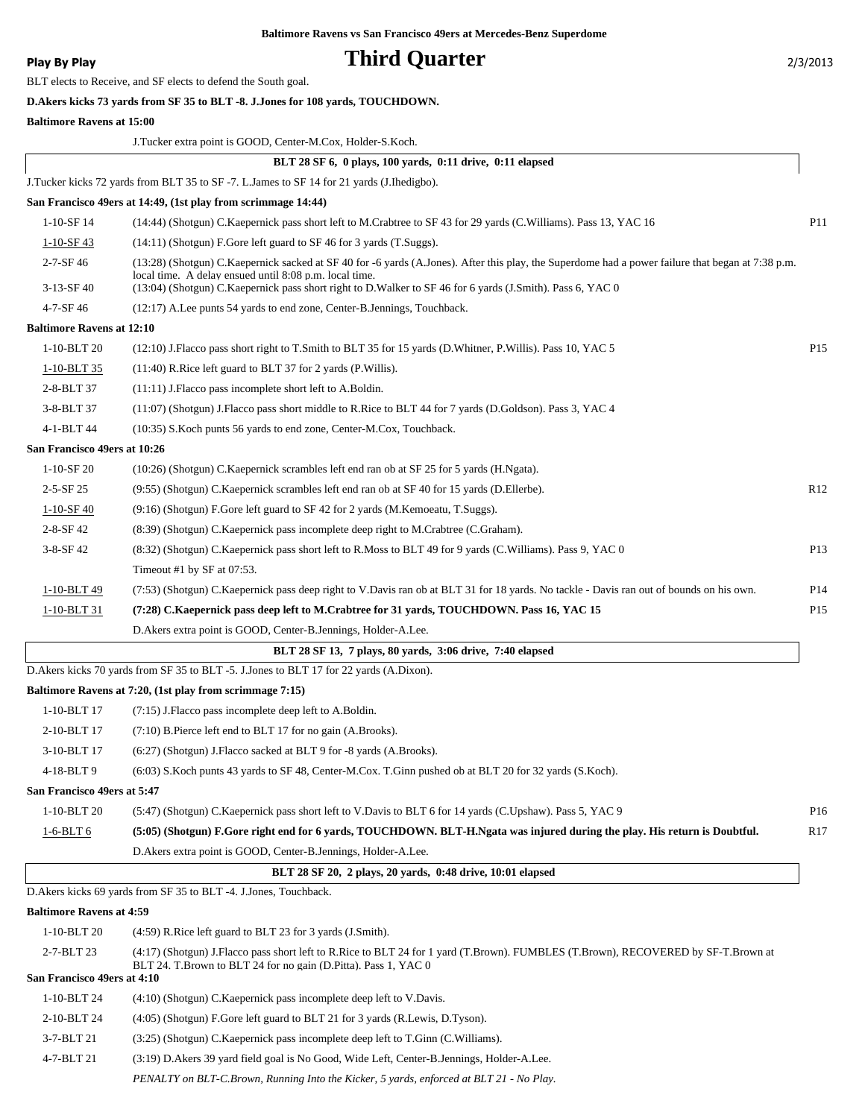BLT elects to Receive, and SF elects to defend the South goal.

### **Play By Play Play Play Play By Play Play By Play Play By Play Play By Play Play Play Play Play Play Play Play Play Play Play Play Play Play Play Play Play Play Play Play**

|                                  | D. Akers kicks 73 yards from SF 35 to BLT -8. J. Jones for 108 yards, TOUCHDOWN.                                                                                                                                                                                                                                         |                 |
|----------------------------------|--------------------------------------------------------------------------------------------------------------------------------------------------------------------------------------------------------------------------------------------------------------------------------------------------------------------------|-----------------|
| <b>Baltimore Ravens at 15:00</b> |                                                                                                                                                                                                                                                                                                                          |                 |
|                                  | J.Tucker extra point is GOOD, Center-M.Cox, Holder-S.Koch.                                                                                                                                                                                                                                                               |                 |
|                                  | BLT 28 SF 6, 0 plays, 100 yards, 0:11 drive, 0:11 elapsed                                                                                                                                                                                                                                                                |                 |
|                                  | J.Tucker kicks 72 yards from BLT 35 to SF -7. L.James to SF 14 for 21 yards (J.Ihedigbo).                                                                                                                                                                                                                                |                 |
|                                  | San Francisco 49ers at 14:49, (1st play from scrimmage 14:44)                                                                                                                                                                                                                                                            |                 |
| 1-10-SF 14                       | (14:44) (Shotgun) C.Kaepernick pass short left to M.Crabtree to SF 43 for 29 yards (C.Williams). Pass 13, YAC 16                                                                                                                                                                                                         | P <sub>11</sub> |
| $1 - 10 - SF - 43$               | (14:11) (Shotgun) F.Gore left guard to SF 46 for 3 yards (T.Suggs).                                                                                                                                                                                                                                                      |                 |
| $2 - 7 - SF$ 46<br>$3-13-SF$ 40  | (13:28) (Shotgun) C.Kaepernick sacked at SF 40 for -6 yards (A.Jones). After this play, the Superdome had a power failure that began at 7:38 p.m.<br>local time. A delay ensued until 8:08 p.m. local time.<br>(13:04) (Shotgun) C.Kaepernick pass short right to D.Walker to SF 46 for 6 yards (J.Smith). Pass 6, YAC 0 |                 |
| 4-7-SF 46                        | (12:17) A.Lee punts 54 yards to end zone, Center-B.Jennings, Touchback.                                                                                                                                                                                                                                                  |                 |
| <b>Baltimore Ravens at 12:10</b> |                                                                                                                                                                                                                                                                                                                          |                 |
| 1-10-BLT 20                      | (12:10) J.Flacco pass short right to T.Smith to BLT 35 for 15 yards (D.Whitner, P.Willis). Pass 10, YAC 5                                                                                                                                                                                                                | P <sub>15</sub> |
| 1-10-BLT 35                      | (11:40) R.Rice left guard to BLT 37 for 2 yards (P.Willis).                                                                                                                                                                                                                                                              |                 |
| 2-8-BLT 37                       | (11:11) J.Flacco pass incomplete short left to A.Boldin.                                                                                                                                                                                                                                                                 |                 |
| 3-8-BLT 37                       | (11:07) (Shotgun) J.Flacco pass short middle to R.Rice to BLT 44 for 7 yards (D.Goldson). Pass 3, YAC 4                                                                                                                                                                                                                  |                 |
| 4-1-BLT 44                       | (10:35) S. Koch punts 56 yards to end zone, Center-M. Cox, Touchback.                                                                                                                                                                                                                                                    |                 |
| San Francisco 49ers at 10:26     |                                                                                                                                                                                                                                                                                                                          |                 |
| $1-10-SF20$                      | (10:26) (Shotgun) C.Kaepernick scrambles left end ran ob at SF 25 for 5 yards (H.Ngata).                                                                                                                                                                                                                                 |                 |
| $2 - 5 - SF$ 25                  | (9:55) (Shotgun) C.Kaepernick scrambles left end ran ob at SF 40 for 15 yards (D. Ellerbe).                                                                                                                                                                                                                              | R12             |
| $1 - 10 - SF - 40$               | (9:16) (Shotgun) F.Gore left guard to SF 42 for 2 yards (M.Kemoeatu, T.Suggs).                                                                                                                                                                                                                                           |                 |
| $2 - 8 - SF 42$                  | (8:39) (Shotgun) C.Kaepernick pass incomplete deep right to M.Crabtree (C.Graham).                                                                                                                                                                                                                                       |                 |
| $3-8-SF$ 42                      | (8:32) (Shotgun) C.Kaepernick pass short left to R.Moss to BLT 49 for 9 yards (C.Williams). Pass 9, YAC 0                                                                                                                                                                                                                | P <sub>13</sub> |
|                                  | Timeout #1 by SF at $07:53$ .                                                                                                                                                                                                                                                                                            |                 |
| 1-10-BLT 49                      | (7:53) (Shotgun) C.Kaepernick pass deep right to V.Davis ran ob at BLT 31 for 18 yards. No tackle - Davis ran out of bounds on his own.                                                                                                                                                                                  | P <sub>14</sub> |
| 1-10-BLT 31                      | (7:28) C.Kaepernick pass deep left to M.Crabtree for 31 yards, TOUCHDOWN. Pass 16, YAC 15                                                                                                                                                                                                                                | P <sub>15</sub> |
|                                  | D.Akers extra point is GOOD, Center-B.Jennings, Holder-A.Lee.                                                                                                                                                                                                                                                            |                 |
|                                  | BLT 28 SF 13, 7 plays, 80 yards, 3:06 drive, 7:40 elapsed                                                                                                                                                                                                                                                                |                 |
|                                  | D. Akers kicks 70 yards from SF 35 to BLT -5. J. Jones to BLT 17 for 22 yards (A.Dixon).                                                                                                                                                                                                                                 |                 |
|                                  | Baltimore Ravens at 7:20, (1st play from scrimmage 7:15)                                                                                                                                                                                                                                                                 |                 |
| 1-10-BLT 17                      | $(7:15)$ J. Flacco pass incomplete deep left to A. Boldin.                                                                                                                                                                                                                                                               |                 |
| 2-10-BLT 17                      | (7:10) B.Pierce left end to BLT 17 for no gain (A.Brooks).                                                                                                                                                                                                                                                               |                 |
| 3-10-BLT 17                      | (6:27) (Shotgun) J.Flacco sacked at BLT 9 for -8 yards (A.Brooks).                                                                                                                                                                                                                                                       |                 |
| 4-18-BLT9                        | (6:03) S.Koch punts 43 yards to SF 48, Center-M.Cox. T.Ginn pushed ob at BLT 20 for 32 yards (S.Koch).                                                                                                                                                                                                                   |                 |
| San Francisco 49ers at 5:47      |                                                                                                                                                                                                                                                                                                                          |                 |
| 1-10-BLT 20                      | (5:47) (Shotgun) C.Kaepernick pass short left to V.Davis to BLT 6 for 14 yards (C.Upshaw). Pass 5, YAC 9                                                                                                                                                                                                                 | P <sub>16</sub> |
| 1-6-BLT 6                        | (5:05) (Shotgun) F.Gore right end for 6 yards, TOUCHDOWN. BLT-H.Ngata was injured during the play. His return is Doubtful.                                                                                                                                                                                               | R17             |
|                                  | D.Akers extra point is GOOD, Center-B.Jennings, Holder-A.Lee.                                                                                                                                                                                                                                                            |                 |
|                                  | BLT 28 SF 20, 2 plays, 20 yards, 0:48 drive, 10:01 elapsed                                                                                                                                                                                                                                                               |                 |
|                                  | D. Akers kicks 69 yards from SF 35 to BLT -4. J. Jones, Touchback.                                                                                                                                                                                                                                                       |                 |
| <b>Baltimore Ravens at 4:59</b>  |                                                                                                                                                                                                                                                                                                                          |                 |
| 1-10-BLT 20                      | (4:59) R.Rice left guard to BLT 23 for 3 yards (J.Smith).                                                                                                                                                                                                                                                                |                 |
| 2-7-BLT 23                       | (4:17) (Shotgun) J.Flacco pass short left to R.Rice to BLT 24 for 1 yard (T.Brown). FUMBLES (T.Brown), RECOVERED by SF-T.Brown at<br>BLT 24. T.Brown to BLT 24 for no gain (D.Pitta). Pass 1, YAC 0                                                                                                                      |                 |
| San Francisco 49ers at 4:10      |                                                                                                                                                                                                                                                                                                                          |                 |
| 1-10-BLT 24                      | (4:10) (Shotgun) C. Kaepernick pass incomplete deep left to V. Davis.                                                                                                                                                                                                                                                    |                 |
| 2-10-BLT 24                      | (4:05) (Shotgun) F.Gore left guard to BLT 21 for 3 yards (R.Lewis, D.Tyson).                                                                                                                                                                                                                                             |                 |
| 3-7-BLT 21                       | (3:25) (Shotgun) C.Kaepernick pass incomplete deep left to T.Ginn (C.Williams).                                                                                                                                                                                                                                          |                 |

4-7-BLT 21 (3:19) D.Akers 39 yard field goal is No Good, Wide Left, Center-B.Jennings, Holder-A.Lee.

*PENALTY on BLT-C.Brown, Running Into the Kicker, 5 yards, enforced at BLT 21 - No Play.*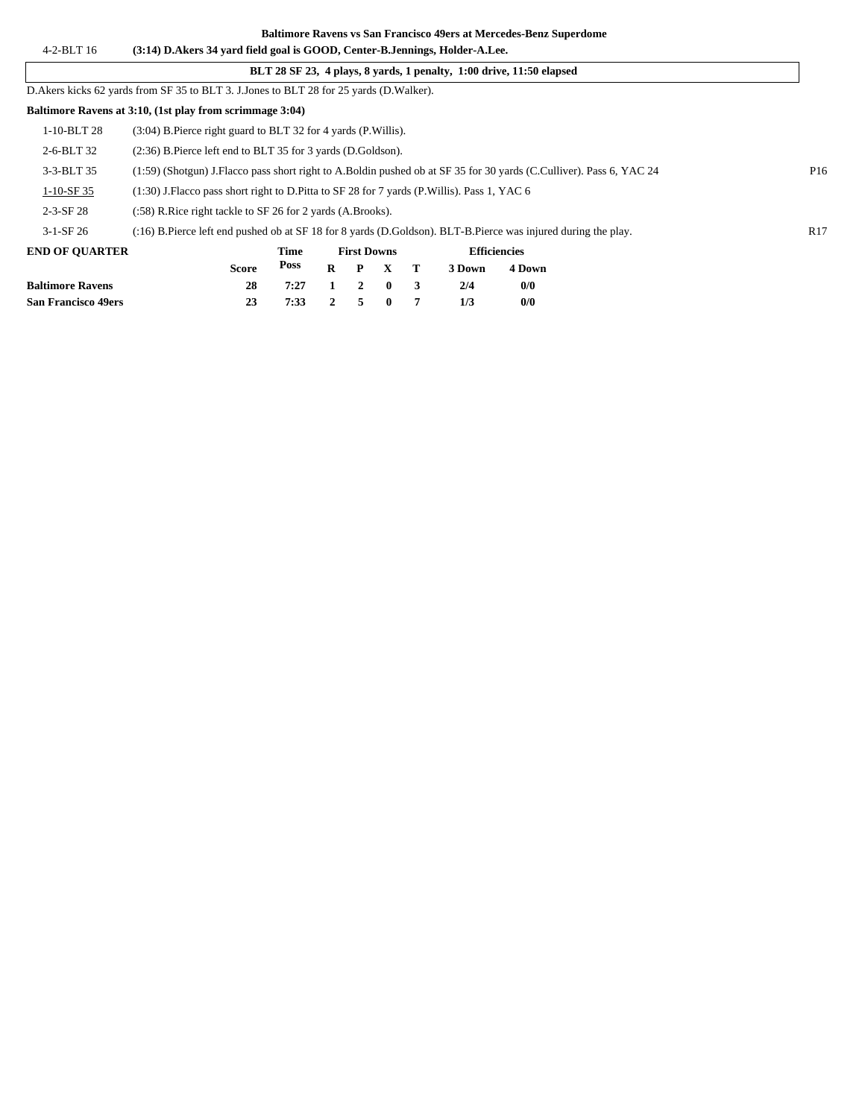#### 4-2-BLT 16 **(3:14) D.Akers 34 yard field goal is GOOD, Center-B.Jennings, Holder-A.Lee. Baltimore Ravens vs San Francisco 49ers at Mercedes-Benz Superdome**

**San Francisco 49ers 23 7:33 2 5 0 7 1/3 0/0**

|                                                                                           |                                                                                                                                        |              |      |          |              |          |   |        | BLT 28 SF 23, 4 plays, 8 yards, 1 penalty, 1:00 drive, 11:50 elapsed |  |  |                 |
|-------------------------------------------------------------------------------------------|----------------------------------------------------------------------------------------------------------------------------------------|--------------|------|----------|--------------|----------|---|--------|----------------------------------------------------------------------|--|--|-----------------|
| D. Akers kicks 62 yards from SF 35 to BLT 3. J. Jones to BLT 28 for 25 yards (D. Walker). |                                                                                                                                        |              |      |          |              |          |   |        |                                                                      |  |  |                 |
| Baltimore Ravens at 3:10, (1st play from scrimmage 3:04)                                  |                                                                                                                                        |              |      |          |              |          |   |        |                                                                      |  |  |                 |
| 1-10-BLT 28                                                                               | (3:04) B. Pierce right guard to BLT 32 for 4 yards (P. Willis).                                                                        |              |      |          |              |          |   |        |                                                                      |  |  |                 |
| 2-6-BLT 32                                                                                | (2:36) B.Pierce left end to BLT 35 for 3 yards (D.Goldson).                                                                            |              |      |          |              |          |   |        |                                                                      |  |  |                 |
| 3-3-BLT 35                                                                                | (1:59) (Shotgun) J.Flacco pass short right to A.Boldin pushed ob at SF 35 for 30 yards (C.Culliver). Pass 6, YAC 24<br>P <sub>16</sub> |              |      |          |              |          |   |        |                                                                      |  |  |                 |
| $1-10-SF35$                                                                               | (1:30) J. Flacco pass short right to D. Pitta to SF 28 for 7 yards (P. Willis). Pass 1, YAC 6                                          |              |      |          |              |          |   |        |                                                                      |  |  |                 |
| $2 - 3 - SF$ 28                                                                           | (:58) R. Rice right tackle to SF 26 for 2 yards (A. Brooks).                                                                           |              |      |          |              |          |   |        |                                                                      |  |  |                 |
| $3-1-SF26$                                                                                | (:16) B.Pierce left end pushed ob at SF 18 for 8 yards (D.Goldson). BLT-B.Pierce was injured during the play.                          |              |      |          |              |          |   |        |                                                                      |  |  | R <sub>17</sub> |
| <b>END OF OUARTER</b>                                                                     | <b>Efficiencies</b><br><b>First Downs</b><br>Time                                                                                      |              |      |          |              |          |   |        |                                                                      |  |  |                 |
|                                                                                           |                                                                                                                                        | <b>Score</b> | Poss | $\bf{R}$ | $\mathbf{P}$ | X        | т | 3 Down | 4 Down                                                               |  |  |                 |
| <b>Baltimore Ravens</b>                                                                   |                                                                                                                                        | 28           | 7:27 |          | 2            | $\bf{0}$ | 3 | 2/4    | 0/0                                                                  |  |  |                 |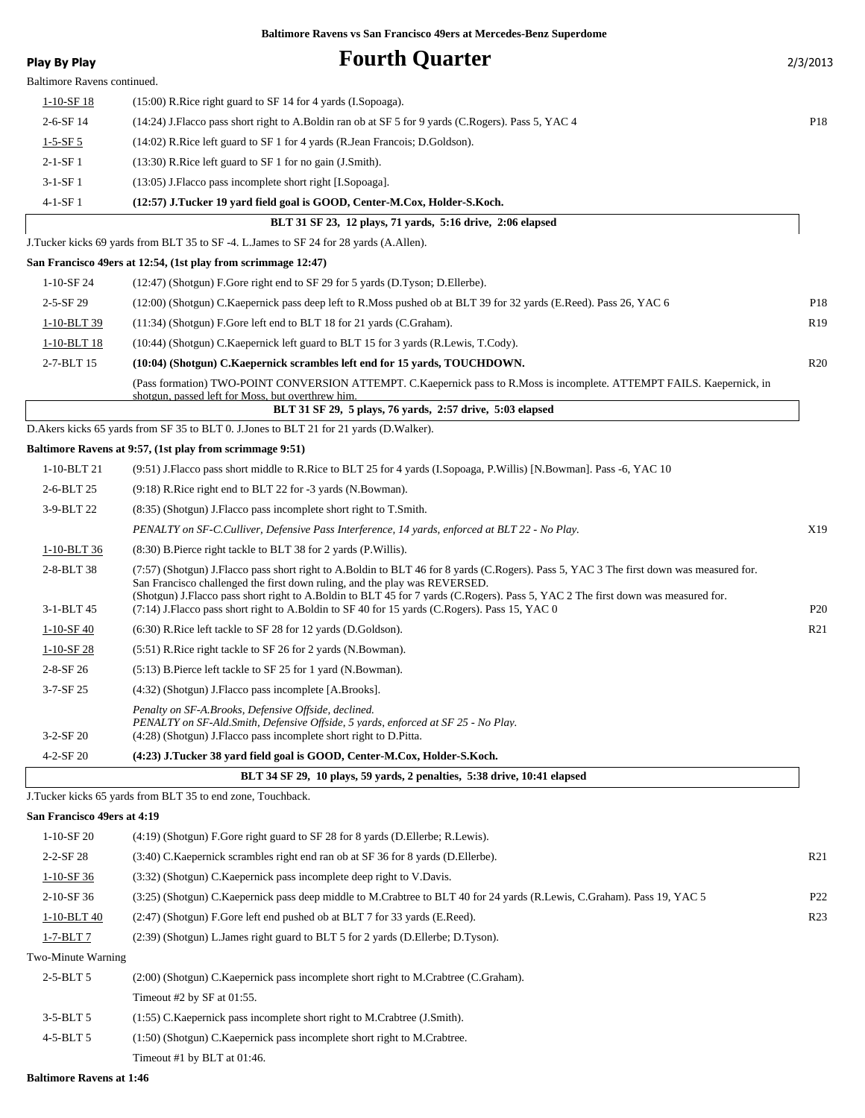| <b>Play By Play</b>         | <b>Fourth Quarter</b>                                                                                                                                                                                                                                                                                                                                                                                                                                      | 2/3/2013        |
|-----------------------------|------------------------------------------------------------------------------------------------------------------------------------------------------------------------------------------------------------------------------------------------------------------------------------------------------------------------------------------------------------------------------------------------------------------------------------------------------------|-----------------|
| Baltimore Ravens continued. |                                                                                                                                                                                                                                                                                                                                                                                                                                                            |                 |
| $1 - 10 - SF$ 18            | (15:00) R.Rice right guard to SF 14 for 4 yards (I.Sopoaga).                                                                                                                                                                                                                                                                                                                                                                                               |                 |
| $2-6-SF14$                  | (14:24) J.Flacco pass short right to A.Boldin ran ob at SF 5 for 9 yards (C.Rogers). Pass 5, YAC 4                                                                                                                                                                                                                                                                                                                                                         | P18             |
| $1 - 5 - SF 5$              | (14:02) R.Rice left guard to SF 1 for 4 yards (R.Jean Francois; D.Goldson).                                                                                                                                                                                                                                                                                                                                                                                |                 |
| $2-1-SF1$                   | (13:30) R.Rice left guard to SF 1 for no gain (J.Smith).                                                                                                                                                                                                                                                                                                                                                                                                   |                 |
| $3-1-SF1$                   | (13:05) J.Flacco pass incomplete short right [I.Sopoaga].                                                                                                                                                                                                                                                                                                                                                                                                  |                 |
| $4-1-SF1$                   | (12:57) J.Tucker 19 yard field goal is GOOD, Center-M.Cox, Holder-S.Koch.                                                                                                                                                                                                                                                                                                                                                                                  |                 |
|                             | BLT 31 SF 23, 12 plays, 71 yards, 5:16 drive, 2:06 elapsed                                                                                                                                                                                                                                                                                                                                                                                                 |                 |
|                             | J.Tucker kicks 69 yards from BLT 35 to SF -4. L.James to SF 24 for 28 yards (A.Allen).                                                                                                                                                                                                                                                                                                                                                                     |                 |
|                             | San Francisco 49ers at 12:54, (1st play from scrimmage 12:47)                                                                                                                                                                                                                                                                                                                                                                                              |                 |
| $1-10-SF24$                 | (12:47) (Shotgun) F.Gore right end to SF 29 for 5 yards (D.Tyson; D.Ellerbe).                                                                                                                                                                                                                                                                                                                                                                              |                 |
| $2 - 5 - SF$ 29             | (12:00) (Shotgun) C.Kaepernick pass deep left to R.Moss pushed ob at BLT 39 for 32 yards (E.Reed). Pass 26, YAC 6                                                                                                                                                                                                                                                                                                                                          | P <sub>18</sub> |
| 1-10-BLT 39                 | (11:34) (Shotgun) F.Gore left end to BLT 18 for 21 yards (C.Graham).                                                                                                                                                                                                                                                                                                                                                                                       | R <sub>19</sub> |
| 1-10-BLT 18                 | (10:44) (Shotgun) C.Kaepernick left guard to BLT 15 for 3 yards (R.Lewis, T.Cody).                                                                                                                                                                                                                                                                                                                                                                         |                 |
| 2-7-BLT 15                  | (10:04) (Shotgun) C.Kaepernick scrambles left end for 15 yards, TOUCHDOWN.                                                                                                                                                                                                                                                                                                                                                                                 | R20             |
|                             | (Pass formation) TWO-POINT CONVERSION ATTEMPT. C.Kaepernick pass to R.Moss is incomplete. ATTEMPT FAILS. Kaepernick, in<br>shotgun, passed left for Moss, but overthrew him.                                                                                                                                                                                                                                                                               |                 |
|                             | BLT 31 SF 29, 5 plays, 76 yards, 2:57 drive, 5:03 elapsed                                                                                                                                                                                                                                                                                                                                                                                                  |                 |
|                             | D.Akers kicks 65 yards from SF 35 to BLT 0. J.Jones to BLT 21 for 21 yards (D.Walker).                                                                                                                                                                                                                                                                                                                                                                     |                 |
|                             | Baltimore Ravens at 9:57, (1st play from scrimmage 9:51)                                                                                                                                                                                                                                                                                                                                                                                                   |                 |
| 1-10-BLT 21                 | (9:51) J.Flacco pass short middle to R.Rice to BLT 25 for 4 yards (I.Sopoaga, P.Willis) [N.Bowman]. Pass -6, YAC 10                                                                                                                                                                                                                                                                                                                                        |                 |
| 2-6-BLT 25                  | (9:18) R.Rice right end to BLT 22 for -3 yards (N.Bowman).                                                                                                                                                                                                                                                                                                                                                                                                 |                 |
| 3-9-BLT 22                  | (8:35) (Shotgun) J. Flacco pass incomplete short right to T. Smith.                                                                                                                                                                                                                                                                                                                                                                                        |                 |
|                             | PENALTY on SF-C.Culliver, Defensive Pass Interference, 14 yards, enforced at BLT 22 - No Play.                                                                                                                                                                                                                                                                                                                                                             | X19             |
| 1-10-BLT 36                 | (8:30) B.Pierce right tackle to BLT 38 for 2 yards (P.Willis).                                                                                                                                                                                                                                                                                                                                                                                             |                 |
| 2-8-BLT 38<br>3-1-BLT 45    | (7:57) (Shotgun) J.Flacco pass short right to A.Boldin to BLT 46 for 8 yards (C.Rogers). Pass 5, YAC 3 The first down was measured for.<br>San Francisco challenged the first down ruling, and the play was REVERSED.<br>(Shotgun) J.Flacco pass short right to A.Boldin to BLT 45 for 7 yards (C.Rogers). Pass 5, YAC 2 The first down was measured for.<br>(7:14) J.Flacco pass short right to A.Boldin to SF 40 for 15 yards (C.Rogers). Pass 15, YAC 0 | P <sub>20</sub> |
| $1-10-SF$ 40                | $(6:30)$ R. Rice left tackle to SF 28 for 12 yards (D. Goldson).                                                                                                                                                                                                                                                                                                                                                                                           | R <sub>21</sub> |
| $1-10-SF$ 28                | (5:51) R. Rice right tackle to SF 26 for 2 yards (N. Bowman).                                                                                                                                                                                                                                                                                                                                                                                              |                 |
| $2 - 8 - SF 26$             | (5:13) B.Pierce left tackle to SF 25 for 1 yard (N.Bowman).                                                                                                                                                                                                                                                                                                                                                                                                |                 |
| 3-7-SF 25                   | (4:32) (Shotgun) J.Flacco pass incomplete [A.Brooks].                                                                                                                                                                                                                                                                                                                                                                                                      |                 |
| $3-2-SF20$                  | Penalty on SF-A.Brooks, Defensive Offside, declined.<br>PENALTY on SF-Ald.Smith, Defensive Offside, 5 yards, enforced at SF 25 - No Play.<br>(4:28) (Shotgun) J.Flacco pass incomplete short right to D.Pitta.                                                                                                                                                                                                                                             |                 |
| $4 - 2 - SF$ 20             | (4:23) J.Tucker 38 yard field goal is GOOD, Center-M.Cox, Holder-S.Koch.                                                                                                                                                                                                                                                                                                                                                                                   |                 |
|                             | BLT 34 SF 29, 10 plays, 59 yards, 2 penalties, 5:38 drive, 10:41 elapsed                                                                                                                                                                                                                                                                                                                                                                                   |                 |
|                             | J.Tucker kicks 65 yards from BLT 35 to end zone, Touchback.                                                                                                                                                                                                                                                                                                                                                                                                |                 |
| San Francisco 49ers at 4:19 |                                                                                                                                                                                                                                                                                                                                                                                                                                                            |                 |
| 1-10-SF 20                  | $(4:19)$ (Shotgun) F.Gore right guard to SF 28 for 8 yards (D.Ellerbe; R.Lewis).                                                                                                                                                                                                                                                                                                                                                                           |                 |
| $2 - 2 - SF$ 28             | (3:40) C. Kaepernick scrambles right end ran ob at SF 36 for 8 yards (D. Ellerbe).                                                                                                                                                                                                                                                                                                                                                                         | R <sub>21</sub> |
| $1-10-SF$ 36                | (3:32) (Shotgun) C.Kaepernick pass incomplete deep right to V.Davis.                                                                                                                                                                                                                                                                                                                                                                                       |                 |
| 2-10-SF 36                  | (3:25) (Shotgun) C.Kaepernick pass deep middle to M.Crabtree to BLT 40 for 24 yards (R.Lewis, C.Graham). Pass 19, YAC 5                                                                                                                                                                                                                                                                                                                                    | P <sub>22</sub> |
| 1-10-BLT 40                 | (2:47) (Shotgun) F.Gore left end pushed ob at BLT 7 for 33 yards (E.Reed).                                                                                                                                                                                                                                                                                                                                                                                 | R <sub>23</sub> |
| 1-7-BLT 7                   | (2:39) (Shotgun) L.James right guard to BLT 5 for 2 yards (D.Ellerbe; D.Tyson).                                                                                                                                                                                                                                                                                                                                                                            |                 |
| Two-Minute Warning          |                                                                                                                                                                                                                                                                                                                                                                                                                                                            |                 |
| 2-5-BLT 5                   | (2:00) (Shotgun) C.Kaepernick pass incomplete short right to M.Crabtree (C.Graham).                                                                                                                                                                                                                                                                                                                                                                        |                 |
|                             | Timeout #2 by SF at 01:55.                                                                                                                                                                                                                                                                                                                                                                                                                                 |                 |
| $3-5-BLT5$                  | (1:55) C.Kaepernick pass incomplete short right to M.Crabtree (J.Smith).                                                                                                                                                                                                                                                                                                                                                                                   |                 |
| 4-5-BLT 5                   | (1:50) (Shotgun) C.Kaepernick pass incomplete short right to M.Crabtree.                                                                                                                                                                                                                                                                                                                                                                                   |                 |

**Baltimore Ravens at 1:46**

Timeout #1 by BLT at 01:46.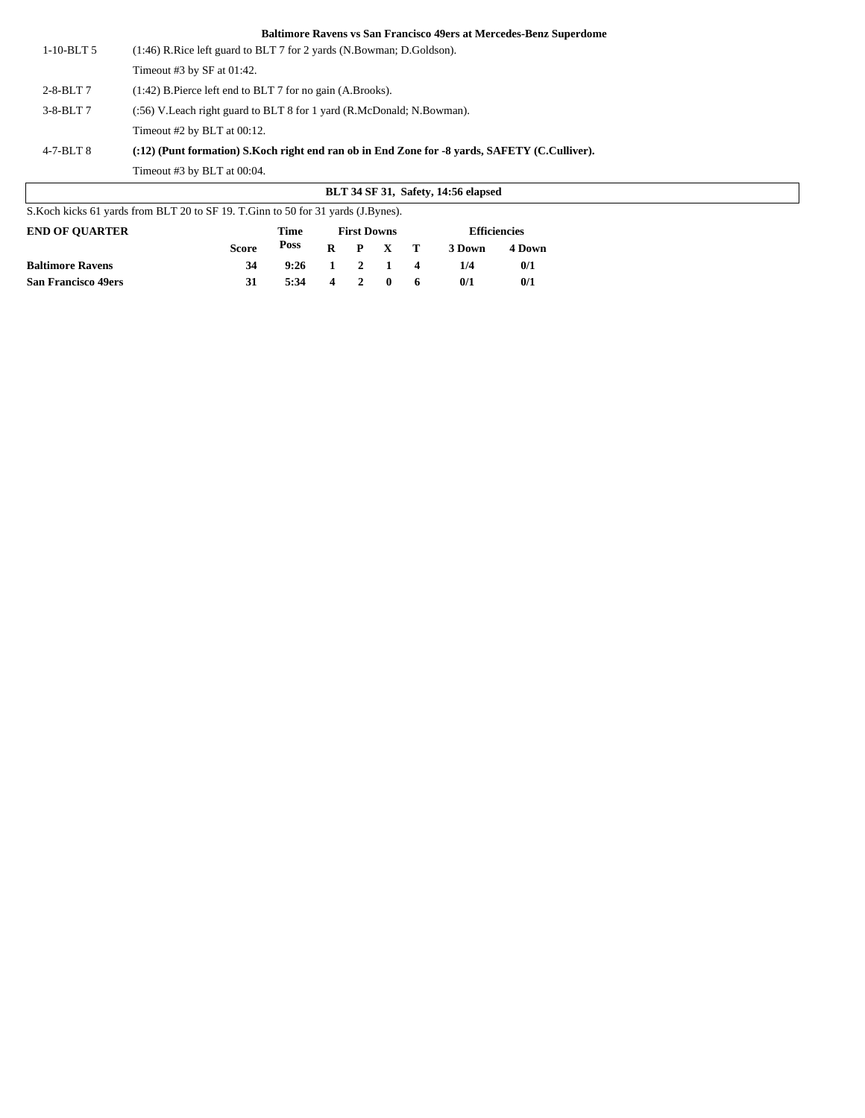|                 | <b>BLT 34 SF 31, Safety, 14:56 elapsed</b>                                                    |
|-----------------|-----------------------------------------------------------------------------------------------|
|                 | Timeout #3 by BLT at 00:04.                                                                   |
| $4-7-BLT8$      | (:12) (Punt formation) S.Koch right end ran ob in End Zone for -8 vards, SAFETY (C.Culliver). |
|                 | Timeout $#2$ by BLT at $00:12$ .                                                              |
| $3-8-BLT7$      | (:56) V. Leach right guard to BLT 8 for 1 yard (R. McDonald; N. Bowman).                      |
| $2 - 8 - BLT$ 7 | $(1:42)$ B. Pierce left end to BLT 7 for no gain $(A.Brooks)$ .                               |
|                 | Timeout #3 by SF at $01:42$ .                                                                 |
| $1-10-BLT5$     | $(1:46)$ R. Rice left guard to BLT 7 for 2 yards (N. Bowman; D. Goldson).                     |

| S. Koch kicks 61 yards from BLT 20 to SF 19. T. Ginn to 50 for 31 yards (J. Bynes). |              |                    |  |  |                 |                     |        |        |  |
|-------------------------------------------------------------------------------------|--------------|--------------------|--|--|-----------------|---------------------|--------|--------|--|
| <b>END OF OUARTER</b>                                                               | Time         | <b>First Downs</b> |  |  |                 | <b>Efficiencies</b> |        |        |  |
|                                                                                     | <b>Score</b> | Poss               |  |  | $R$ $P$ $X$ $T$ |                     | 3 Down | 4 Down |  |
| <b>Baltimore Ravens</b>                                                             | 34           | 9:26               |  |  | $1 \t2 \t1 \t4$ |                     | 1/4    | 0/1    |  |
| <b>San Francisco 49ers</b>                                                          | 31           | $5:34$ 4 2 0 6     |  |  |                 |                     | 0/1    | 0/1    |  |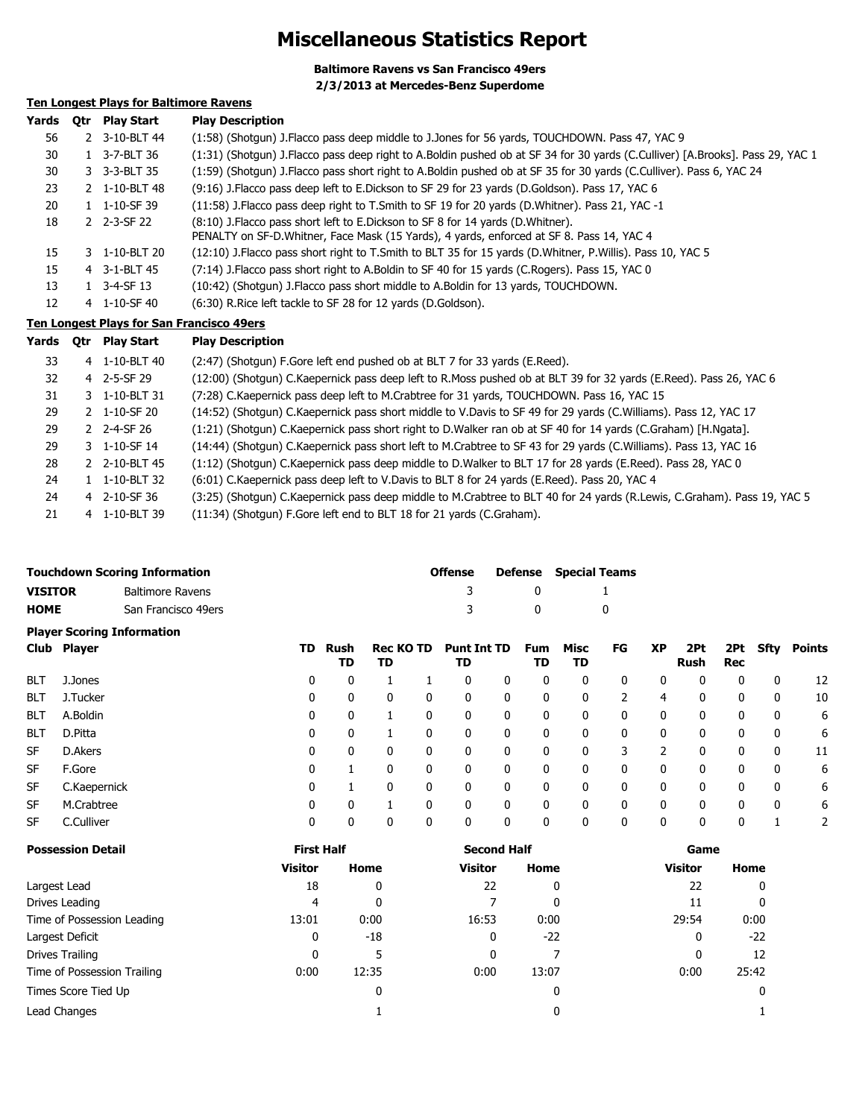### **Miscellaneous Statistics Report**

**Baltimore Ravens vs San Francisco 49ers**

**2/3/2013 at Mercedes-Benz Superdome**

### **Ten Longest Plays for Baltimore Ravens**

| Yards | 0tr | <b>Play Start</b>             | <b>Play Description</b>                                                                                                                                                        |
|-------|-----|-------------------------------|--------------------------------------------------------------------------------------------------------------------------------------------------------------------------------|
| 56    |     | 2 3-10-BLT 44                 | (1:58) (Shotgun) J.Flacco pass deep middle to J.Jones for 56 yards, TOUCHDOWN. Pass 47, YAC 9                                                                                  |
| 30    |     | 1 3-7-BLT 36                  | (1:31) (Shotgun) J.Flacco pass deep right to A.Boldin pushed ob at SF 34 for 30 yards (C.Culliver) [A.Brooks]. Pass 29, YAC 1                                                  |
| 30    |     | 3 3-3-BLT 35                  | (1:59) (Shotgun) J.Flacco pass short right to A.Boldin pushed ob at SF 35 for 30 yards (C.Culliver). Pass 6, YAC 24                                                            |
| 23    |     | 2 1-10-BLT 48                 | (9:16) J.Flacco pass deep left to E.Dickson to SF 29 for 23 yards (D.Goldson). Pass 17, YAC 6                                                                                  |
| 20    |     | 1 1-10-SF 39                  | (11:58) J. Flacco pass deep right to T. Smith to SF 19 for 20 yards (D. Whitner). Pass 21, YAC -1                                                                              |
| 18    |     | 2 2-3-SF 22                   | (8:10) J. Flacco pass short left to E. Dickson to SF 8 for 14 yards (D. Whitner).<br>PENALTY on SF-D. Whitner, Face Mask (15 Yards), 4 yards, enforced at SF 8. Pass 14, YAC 4 |
| 15    |     | 3 1-10-BLT 20                 | (12:10) J. Flacco pass short right to T. Smith to BLT 35 for 15 yards (D. Whitner, P. Willis). Pass 10, YAC 5                                                                  |
| 15    |     | 4 3-1-BLT 45                  | (7:14) J. Flacco pass short right to A. Boldin to SF 40 for 15 yards (C. Rogers). Pass 15, YAC 0                                                                               |
| 13    |     | $1 \quad 3 - 4 - SF \quad 13$ | (10:42) (Shotgun) J. Flacco pass short middle to A. Boldin for 13 yards, TOUCHDOWN.                                                                                            |
| 12    |     | 4 1-10-SF 40                  | (6:30) R. Rice left tackle to SF 28 for 12 yards (D. Goldson).                                                                                                                 |

#### **Ten Longest Plays for San Francisco 49ers**

| Yards | Otr | Play Start        | <b>Play Description</b>                                                                                                 |
|-------|-----|-------------------|-------------------------------------------------------------------------------------------------------------------------|
| 33    |     | 4 1-10-BLT 40     | (2:47) (Shotgun) F.Gore left end pushed ob at BLT 7 for 33 yards (E.Reed).                                              |
| 32    |     | 4 2-5-SF 29       | (12:00) (Shotgun) C.Kaepernick pass deep left to R.Moss pushed ob at BLT 39 for 32 yards (E.Reed). Pass 26, YAC 6       |
| 31    |     | 3 1-10-BLT 31     | (7:28) C. Kaepernick pass deep left to M. Crabtree for 31 yards, TOUCHDOWN. Pass 16, YAC 15                             |
| 29    |     | 2 1-10-SF 20      | (14:52) (Shotqun) C.Kaepernick pass short middle to V.Davis to SF 49 for 29 yards (C.Williams). Pass 12, YAC 17         |
| 29    |     | 2 $2 - 4 - SF$ 26 | (1:21) (Shotgun) C.Kaepernick pass short right to D.Walker ran ob at SF 40 for 14 yards (C.Graham) [H.Ngata].           |
| 29    |     | 3 1-10-SF 14      | (14:44) (Shotgun) C.Kaepernick pass short left to M.Crabtree to SF 43 for 29 yards (C.Williams). Pass 13, YAC 16        |
| 28    |     | 2 2-10-BLT 45     | (1:12) (Shotgun) C.Kaepernick pass deep middle to D.Walker to BLT 17 for 28 yards (E.Reed). Pass 28, YAC 0              |
| 24    |     | 1 1-10-BLT 32     | (6:01) C. Kaepernick pass deep left to V. Davis to BLT 8 for 24 yards (E. Reed). Pass 20, YAC 4                         |
| 24    |     | 4 2-10-SF 36      | (3:25) (Shotgun) C.Kaepernick pass deep middle to M.Crabtree to BLT 40 for 24 yards (R.Lewis, C.Graham). Pass 19, YAC 5 |
| 21    |     | 4 1-10-BLT 39     | (11:34) (Shotqun) F.Gore left end to BLT 18 for 21 yards (C.Graham).                                                    |

|                | <b>Touchdown Scoring Information</b> | Offense |              | <b>Defense</b> Special Teams |
|----------------|--------------------------------------|---------|--------------|------------------------------|
| <b>VISITOR</b> | Baltimore Ravens                     | -3      | $\mathbf{0}$ |                              |
| <b>HOME</b>    | San Francisco 49ers                  | -3      | - 0          |                              |
|                | <b>Plaver Scoring Information</b>    |         |              |                              |

|            | Club Player  | TD. | Rush<br>TD | <b>Rec KO TD</b><br>TD |   | <b>Punt Int TD</b><br>TD |   | Fum<br>TD | Misc<br>TD | FG | XP | 2Pt<br>Rush  | 2Pt<br>Rec | Sfty         | Points |
|------------|--------------|-----|------------|------------------------|---|--------------------------|---|-----------|------------|----|----|--------------|------------|--------------|--------|
| <b>BLT</b> | J.Jones      | 0   | 0          |                        |   | 0                        | 0 | 0         | 0          | 0  |    | 0            | 0          | 0            | 12     |
| <b>BLT</b> | J.Tucker     | 0   | 0          | $\mathbf{0}$           | 0 | 0                        | 0 | 0         | 0          |    | 4  | $\mathbf{0}$ | 0          | 0            | 10     |
| <b>BLT</b> | A.Boldin     | 0   | 0          |                        |   | 0                        | 0 | 0         | 0          | 0  | 0  | 0            | 0          | 0            | 6      |
| <b>BLT</b> | D.Pitta      | 0   | 0          |                        |   | 0                        | 0 | 0         | 0          | 0  | 0  | 0            | 0          | 0            | 6      |
| SF         | D.Akers      | 0   | 0          | 0                      |   | 0                        | 0 | 0         | 0          | 3  |    | 0            | 0          | 0            | 11     |
| SF         | F.Gore       | 0   |            | 0                      |   | 0                        | 0 | 0         | 0          | 0  |    | 0            | 0          | $\mathbf{0}$ | 6      |
| <b>SF</b>  | C.Kaepernick | 0   |            | 0                      | 0 | 0                        | 0 | 0         | 0          | 0  | 0  | 0            | 0          | 0            | 6      |
| <b>SF</b>  | M.Crabtree   | 0   | 0          |                        |   | 0                        | 0 | 0         | 0          | 0  | 0  | 0            | 0          | $\mathbf{0}$ | 6      |
| <b>SF</b>  | C.Culliver   | 0   | 0          | 0                      | 0 | 0                        | 0 | 0         | 0          | 0  | 0  | 0            | 0          |              |        |

| <b>Possession Detail</b>    | <b>First Half</b> |       | <b>Second Half</b> |       | Game           |       |  |
|-----------------------------|-------------------|-------|--------------------|-------|----------------|-------|--|
|                             | <b>Visitor</b>    | Home  | <b>Visitor</b>     | Home  | <b>Visitor</b> | Home  |  |
| Largest Lead                | 18                | 0     | 22                 | 0     | 22             | 0     |  |
| Drives Leading              | 4                 | 0     |                    | 0     | 11             | 0     |  |
| Time of Possession Leading  | 13:01             | 0:00  | 16:53              | 0:00  | 29:54          | 0:00  |  |
| Largest Deficit             | 0                 | $-18$ | 0                  | $-22$ | 0              | $-22$ |  |
| Drives Trailing             | 0                 | 5     | 0                  |       | $\mathbf{0}$   | 12    |  |
| Time of Possession Trailing | 0:00              | 12:35 | 0:00               | 13:07 | 0:00           | 25:42 |  |
| Times Score Tied Up         |                   | 0     |                    | 0     |                | 0     |  |
| Lead Changes                |                   |       |                    | 0     |                |       |  |